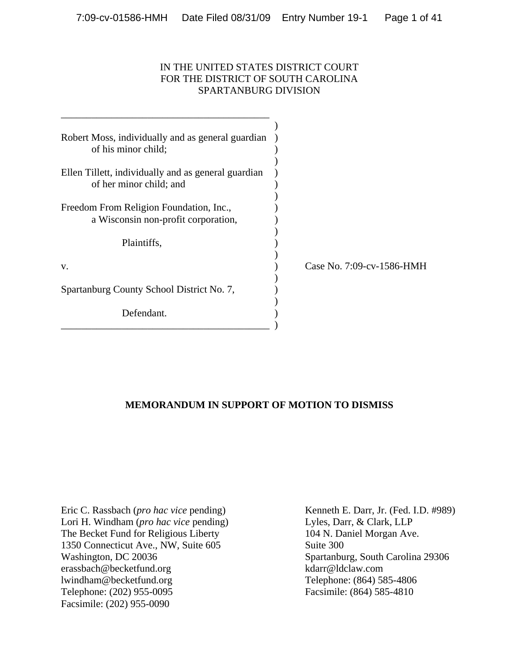# IN THE UNITED STATES DISTRICT COURT FOR THE DISTRICT OF SOUTH CAROLINA SPARTANBURG DIVISION

| Robert Moss, individually and as general guardian<br>of his minor child;       |                           |
|--------------------------------------------------------------------------------|---------------------------|
| Ellen Tillett, individually and as general guardian<br>of her minor child; and |                           |
| Freedom From Religion Foundation, Inc.,<br>a Wisconsin non-profit corporation, |                           |
| Plaintiffs,                                                                    |                           |
| V.                                                                             | Case No. 7:09-cv-1586-HMH |
| Spartanburg County School District No. 7,                                      |                           |
| Defendant.                                                                     |                           |

# **MEMORANDUM IN SUPPORT OF MOTION TO DISMISS**

Eric C. Rassbach (*pro hac vice* pending) Lori H. Windham (*pro hac vice* pending) The Becket Fund for Religious Liberty 1350 Connecticut Ave., NW, Suite 605 Washington, DC 20036 erassbach@becketfund.org lwindham@becketfund.org Telephone: (202) 955-0095 Facsimile: (202) 955-0090

Kenneth E. Darr, Jr. (Fed. I.D. #989) Lyles, Darr, & Clark, LLP 104 N. Daniel Morgan Ave. Suite 300 Spartanburg, South Carolina 29306 kdarr@ldclaw.com Telephone: (864) 585-4806 Facsimile: (864) 585-4810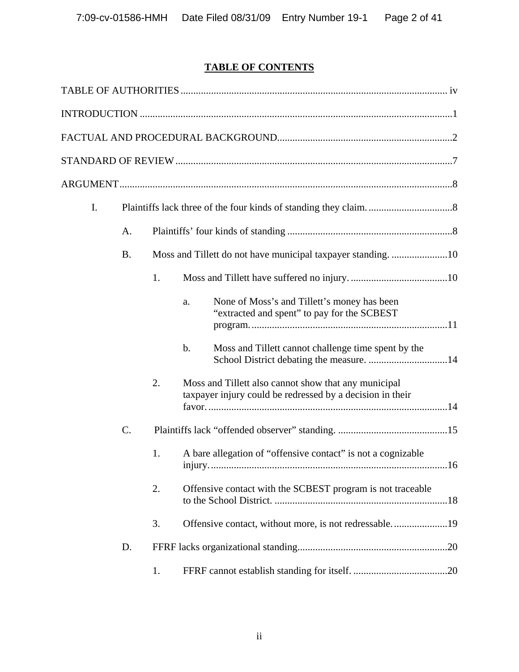# **TABLE OF CONTENTS**

| I. |           |    |                                                                                                                   |
|----|-----------|----|-------------------------------------------------------------------------------------------------------------------|
|    | A.        |    |                                                                                                                   |
|    | <b>B.</b> |    | Moss and Tillett do not have municipal taxpayer standing10                                                        |
|    |           | 1. |                                                                                                                   |
|    |           |    | None of Moss's and Tillett's money has been<br>a.<br>"extracted and spent" to pay for the SCBEST                  |
|    |           |    | $\mathbf b$ .<br>Moss and Tillett cannot challenge time spent by the                                              |
|    |           | 2. | Moss and Tillett also cannot show that any municipal<br>taxpayer injury could be redressed by a decision in their |
|    | C.        |    |                                                                                                                   |
|    |           | 1. | A bare allegation of "offensive contact" is not a cognizable                                                      |
|    |           | 2. | Offensive contact with the SCBEST program is not traceable                                                        |
|    |           | 3. | Offensive contact, without more, is not redressable19                                                             |
|    | D.        |    |                                                                                                                   |
|    |           | 1. |                                                                                                                   |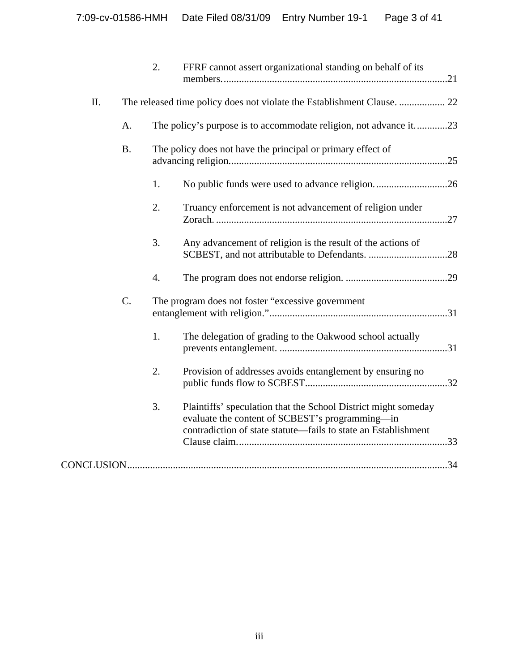|     |           | 2. | FFRF cannot assert organizational standing on behalf of its                                                                                                                         |
|-----|-----------|----|-------------------------------------------------------------------------------------------------------------------------------------------------------------------------------------|
| II. |           |    |                                                                                                                                                                                     |
|     | A.        |    | The policy's purpose is to accommodate religion, not advance it23                                                                                                                   |
|     | <b>B.</b> |    | The policy does not have the principal or primary effect of                                                                                                                         |
|     |           | 1. | No public funds were used to advance religion26                                                                                                                                     |
|     |           | 2. | Truancy enforcement is not advancement of religion under                                                                                                                            |
|     |           | 3. | Any advancement of religion is the result of the actions of                                                                                                                         |
|     |           | 4. |                                                                                                                                                                                     |
|     | C.        |    | The program does not foster "excessive government                                                                                                                                   |
|     |           | 1. | The delegation of grading to the Oakwood school actually                                                                                                                            |
|     |           | 2. | Provision of addresses avoids entanglement by ensuring no                                                                                                                           |
|     |           | 3. | Plaintiffs' speculation that the School District might someday<br>evaluate the content of SCBEST's programming-in<br>contradiction of state statute—fails to state an Establishment |
|     |           |    |                                                                                                                                                                                     |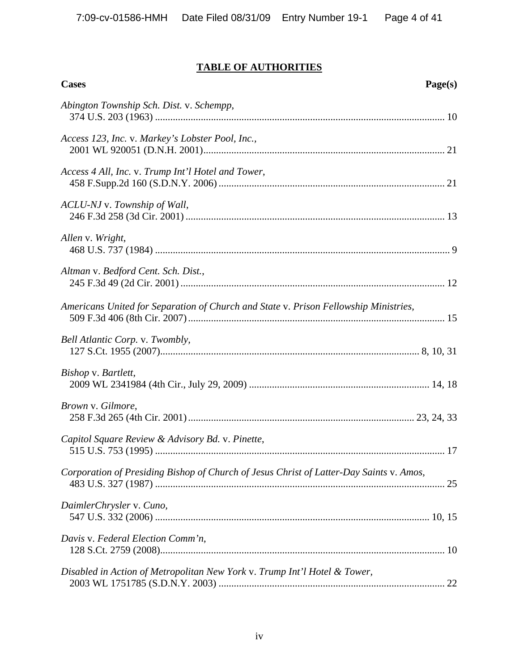# **TABLE OF AUTHORITIES**

| Page(s)<br><b>Cases</b>                                                                 |
|-----------------------------------------------------------------------------------------|
| Abington Township Sch. Dist. v. Schempp,                                                |
| Access 123, Inc. v. Markey's Lobster Pool, Inc.,                                        |
| Access 4 All, Inc. v. Trump Int'l Hotel and Tower,                                      |
| ACLU-NJ v. Township of Wall,                                                            |
| Allen v. Wright,                                                                        |
| Altman v. Bedford Cent. Sch. Dist.,                                                     |
| Americans United for Separation of Church and State v. Prison Fellowship Ministries,    |
| Bell Atlantic Corp. v. Twombly,                                                         |
| Bishop v. Bartlett,                                                                     |
| Brown v. Gilmore,                                                                       |
| Capitol Square Review & Advisory Bd. v. Pinette,                                        |
| Corporation of Presiding Bishop of Church of Jesus Christ of Latter-Day Saints v. Amos, |
| DaimlerChrysler v. Cuno,                                                                |
| Davis v. Federal Election Comm'n,                                                       |
| Disabled in Action of Metropolitan New York v. Trump Int'l Hotel & Tower,               |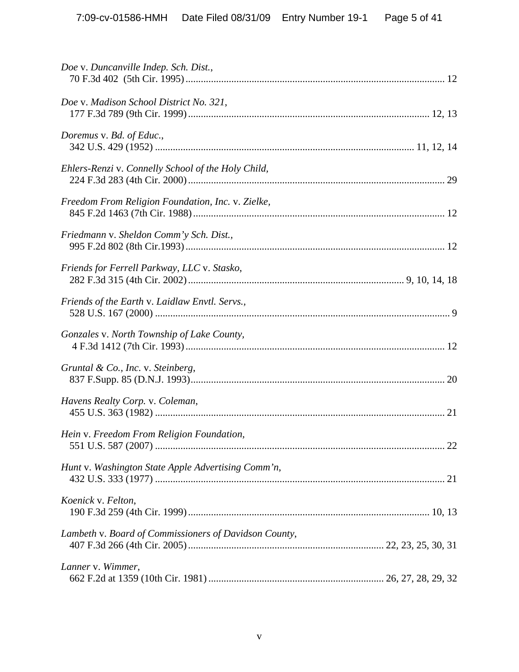| Doe v. Duncanville Indep. Sch. Dist.,                 |  |
|-------------------------------------------------------|--|
| Doe v. Madison School District No. 321,               |  |
| Doremus v. Bd. of Educ.,                              |  |
| Ehlers-Renzi v. Connelly School of the Holy Child,    |  |
| Freedom From Religion Foundation, Inc. v. Zielke,     |  |
| Friedmann v. Sheldon Comm'y Sch. Dist.,               |  |
| Friends for Ferrell Parkway, LLC v. Stasko,           |  |
| Friends of the Earth v. Laidlaw Envtl. Servs.,        |  |
| Gonzales v. North Township of Lake County,            |  |
| Gruntal & Co., Inc. v. Steinberg,                     |  |
| Havens Realty Corp. v. Coleman,                       |  |
| Hein v. Freedom From Religion Foundation,             |  |
| Hunt v. Washington State Apple Advertising Comm'n,    |  |
| Koenick v. Felton,                                    |  |
| Lambeth v. Board of Commissioners of Davidson County, |  |
| Lanner v. Wimmer,                                     |  |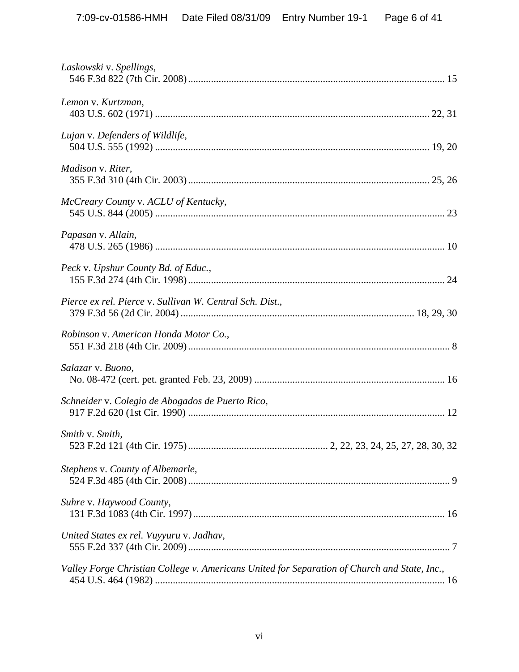| Laskowski v. Spellings,                                                                      |  |
|----------------------------------------------------------------------------------------------|--|
| Lemon v. Kurtzman,                                                                           |  |
| Lujan v. Defenders of Wildlife,                                                              |  |
| Madison v. Riter,                                                                            |  |
| McCreary County v. ACLU of Kentucky,                                                         |  |
| Papasan v. Allain,                                                                           |  |
| Peck v. Upshur County Bd. of Educ.,                                                          |  |
| Pierce ex rel. Pierce v. Sullivan W. Central Sch. Dist.,                                     |  |
| Robinson v. American Honda Motor Co.,                                                        |  |
| Salazar v. Buono,                                                                            |  |
| Schneider v. Colegio de Abogados de Puerto Rico,                                             |  |
| Smith v. Smith,                                                                              |  |
| Stephens v. County of Albemarle,                                                             |  |
| Suhre v. Haywood County,                                                                     |  |
| United States ex rel. Vuyyuru v. Jadhav,                                                     |  |
| Valley Forge Christian College v. Americans United for Separation of Church and State, Inc., |  |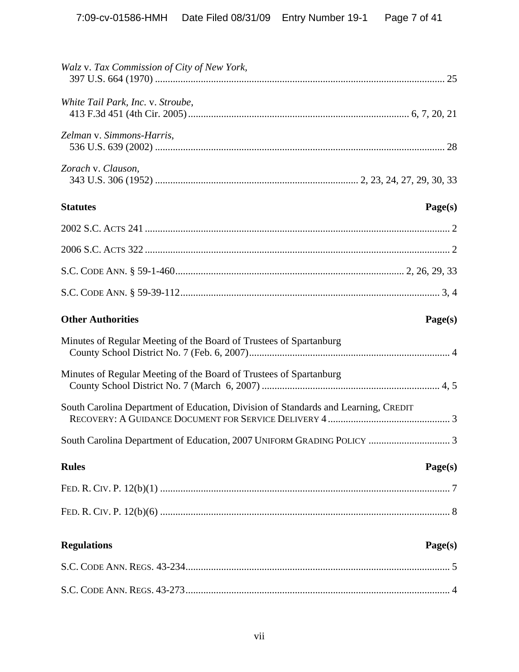| Walz v. Tax Commission of City of New York,                                        |
|------------------------------------------------------------------------------------|
| White Tail Park, Inc. v. Stroube,                                                  |
| Zelman v. Simmons-Harris,                                                          |
| Zorach v. Clauson,                                                                 |
| <b>Statutes</b><br>Page(s)                                                         |
|                                                                                    |
|                                                                                    |
|                                                                                    |
|                                                                                    |
| <b>Other Authorities</b><br>Page(s)                                                |
|                                                                                    |
| Minutes of Regular Meeting of the Board of Trustees of Spartanburg                 |
| Minutes of Regular Meeting of the Board of Trustees of Spartanburg                 |
| South Carolina Department of Education, Division of Standards and Learning, CREDIT |
| South Carolina Department of Education, 2007 UNIFORM GRADING POLICY<br>$\cdot$ 3   |
| <b>Rules</b><br>Page(s)                                                            |
|                                                                                    |
|                                                                                    |
| <b>Regulations</b><br>Page(s)                                                      |
|                                                                                    |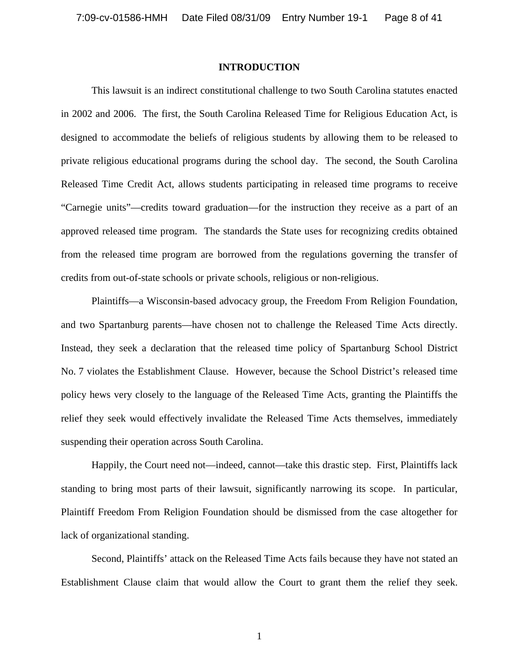#### **INTRODUCTION**

 This lawsuit is an indirect constitutional challenge to two South Carolina statutes enacted in 2002 and 2006. The first, the South Carolina Released Time for Religious Education Act, is designed to accommodate the beliefs of religious students by allowing them to be released to private religious educational programs during the school day. The second, the South Carolina Released Time Credit Act, allows students participating in released time programs to receive "Carnegie units"—credits toward graduation—for the instruction they receive as a part of an approved released time program. The standards the State uses for recognizing credits obtained from the released time program are borrowed from the regulations governing the transfer of credits from out-of-state schools or private schools, religious or non-religious.

 Plaintiffs—a Wisconsin-based advocacy group, the Freedom From Religion Foundation, and two Spartanburg parents—have chosen not to challenge the Released Time Acts directly. Instead, they seek a declaration that the released time policy of Spartanburg School District No. 7 violates the Establishment Clause. However, because the School District's released time policy hews very closely to the language of the Released Time Acts, granting the Plaintiffs the relief they seek would effectively invalidate the Released Time Acts themselves, immediately suspending their operation across South Carolina.

 Happily, the Court need not—indeed, cannot—take this drastic step. First, Plaintiffs lack standing to bring most parts of their lawsuit, significantly narrowing its scope. In particular, Plaintiff Freedom From Religion Foundation should be dismissed from the case altogether for lack of organizational standing.

Second, Plaintiffs' attack on the Released Time Acts fails because they have not stated an Establishment Clause claim that would allow the Court to grant them the relief they seek.

1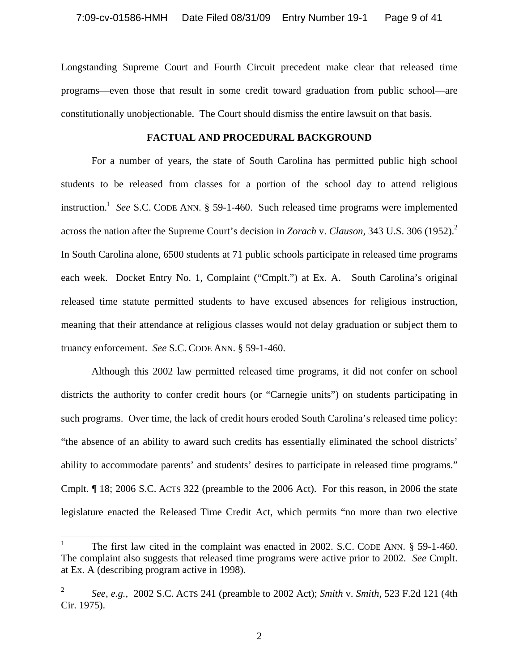Longstanding Supreme Court and Fourth Circuit precedent make clear that released time programs—even those that result in some credit toward graduation from public school—are constitutionally unobjectionable. The Court should dismiss the entire lawsuit on that basis.

#### **FACTUAL AND PROCEDURAL BACKGROUND**

For a number of years, the state of South Carolina has permitted public high school students to be released from classes for a portion of the school day to attend religious instruction.<sup>1</sup> See S.C. CODE ANN.  $\S$  59-1-460. Such released time programs were implemented across the nation after the Supreme Court's decision in *Zorach* v. *Clauson,* 343 U.S. 306 (1952).2 In South Carolina alone, 6500 students at 71 public schools participate in released time programs each week. Docket Entry No. 1, Complaint ("Cmplt.") at Ex. A. South Carolina's original released time statute permitted students to have excused absences for religious instruction, meaning that their attendance at religious classes would not delay graduation or subject them to truancy enforcement. *See* S.C. CODE ANN. § 59-1-460.

Although this 2002 law permitted released time programs, it did not confer on school districts the authority to confer credit hours (or "Carnegie units") on students participating in such programs. Over time, the lack of credit hours eroded South Carolina's released time policy: "the absence of an ability to award such credits has essentially eliminated the school districts' ability to accommodate parents' and students' desires to participate in released time programs." Cmplt. ¶ 18; 2006 S.C. ACTS 322 (preamble to the 2006 Act). For this reason, in 2006 the state legislature enacted the Released Time Credit Act, which permits "no more than two elective

<sup>|&</sup>lt;br>|<br>| The first law cited in the complaint was enacted in 2002. S.C. CODE ANN. § 59-1-460. The complaint also suggests that released time programs were active prior to 2002. *See* Cmplt. at Ex. A (describing program active in 1998).

<sup>2</sup> *See, e.g.,* 2002 S.C. ACTS 241 (preamble to 2002 Act); *Smith* v. *Smith,* 523 F.2d 121 (4th Cir. 1975).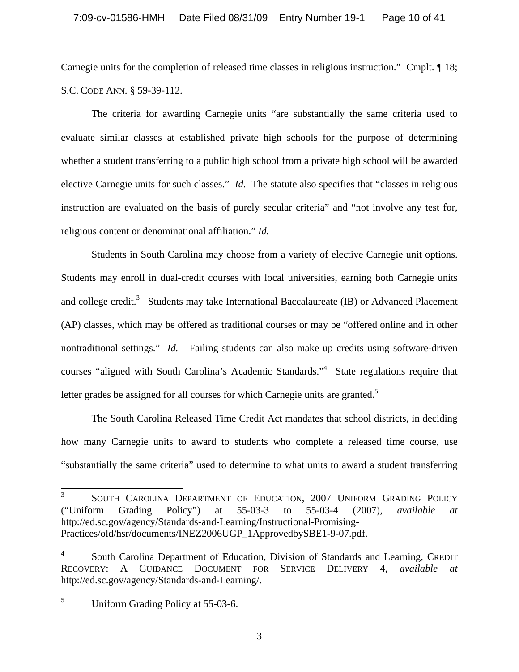Carnegie units for the completion of released time classes in religious instruction." Cmplt. ¶ 18; S.C. CODE ANN. § 59-39-112.

The criteria for awarding Carnegie units "are substantially the same criteria used to evaluate similar classes at established private high schools for the purpose of determining whether a student transferring to a public high school from a private high school will be awarded elective Carnegie units for such classes." *Id.* The statute also specifies that "classes in religious instruction are evaluated on the basis of purely secular criteria" and "not involve any test for, religious content or denominational affiliation." *Id.* 

Students in South Carolina may choose from a variety of elective Carnegie unit options. Students may enroll in dual-credit courses with local universities, earning both Carnegie units and college credit.<sup>3</sup> Students may take International Baccalaureate (IB) or Advanced Placement (AP) classes, which may be offered as traditional courses or may be "offered online and in other nontraditional settings." *Id.* Failing students can also make up credits using software-driven courses "aligned with South Carolina's Academic Standards."<sup>4</sup> State regulations require that letter grades be assigned for all courses for which Carnegie units are granted.<sup>5</sup>

The South Carolina Released Time Credit Act mandates that school districts, in deciding how many Carnegie units to award to students who complete a released time course, use "substantially the same criteria" used to determine to what units to award a student transferring

3

 3 SOUTH CAROLINA DEPARTMENT OF EDUCATION, 2007 UNIFORM GRADING POLICY ("Uniform Grading Policy") at 55-03-3 to 55-03-4 (2007), *available at*  http://ed.sc.gov/agency/Standards-and-Learning/Instructional-Promising-Practices/old/hsr/documents/INEZ2006UGP\_1ApprovedbySBE1-9-07.pdf.

<sup>4</sup> South Carolina Department of Education, Division of Standards and Learning, CREDIT RECOVERY: A GUIDANCE DOCUMENT FOR SERVICE DELIVERY 4, *available at*  http://ed.sc.gov/agency/Standards-and-Learning/.

<sup>5</sup> Uniform Grading Policy at 55-03-6.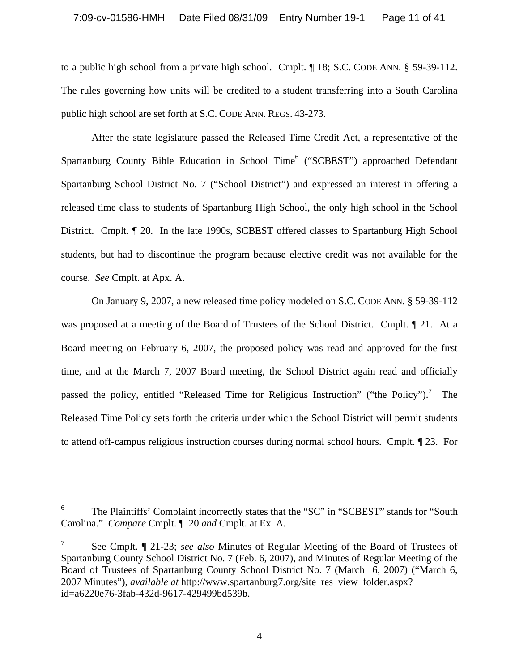to a public high school from a private high school. Cmplt. ¶ 18; S.C. CODE ANN. § 59-39-112. The rules governing how units will be credited to a student transferring into a South Carolina public high school are set forth at S.C. CODE ANN. REGS. 43-273.

After the state legislature passed the Released Time Credit Act, a representative of the Spartanburg County Bible Education in School Time<sup>6</sup> ("SCBEST") approached Defendant Spartanburg School District No. 7 ("School District") and expressed an interest in offering a released time class to students of Spartanburg High School, the only high school in the School District. Cmplt. ¶ 20. In the late 1990s, SCBEST offered classes to Spartanburg High School students, but had to discontinue the program because elective credit was not available for the course. *See* Cmplt. at Apx. A.

On January 9, 2007, a new released time policy modeled on S.C. CODE ANN. § 59-39-112 was proposed at a meeting of the Board of Trustees of the School District. Cmplt. ¶ 21. At a Board meeting on February 6, 2007, the proposed policy was read and approved for the first time, and at the March 7, 2007 Board meeting, the School District again read and officially passed the policy, entitled "Released Time for Religious Instruction" ("the Policy").<sup>7</sup> The Released Time Policy sets forth the criteria under which the School District will permit students to attend off-campus religious instruction courses during normal school hours. Cmplt. ¶ 23. For

 $\overline{\phantom{a}}$ 

 6 The Plaintiffs' Complaint incorrectly states that the "SC" in "SCBEST" stands for "South Carolina." *Compare* Cmplt. ¶ 20 *and* Cmplt. at Ex. A.

<sup>7</sup> See Cmplt. ¶ 21-23; *see also* Minutes of Regular Meeting of the Board of Trustees of Spartanburg County School District No. 7 (Feb. 6, 2007), and Minutes of Regular Meeting of the Board of Trustees of Spartanburg County School District No. 7 (March 6, 2007) ("March 6, 2007 Minutes"), *available at* http://www.spartanburg7.org/site\_res\_view\_folder.aspx? id=a6220e76-3fab-432d-9617-429499bd539b.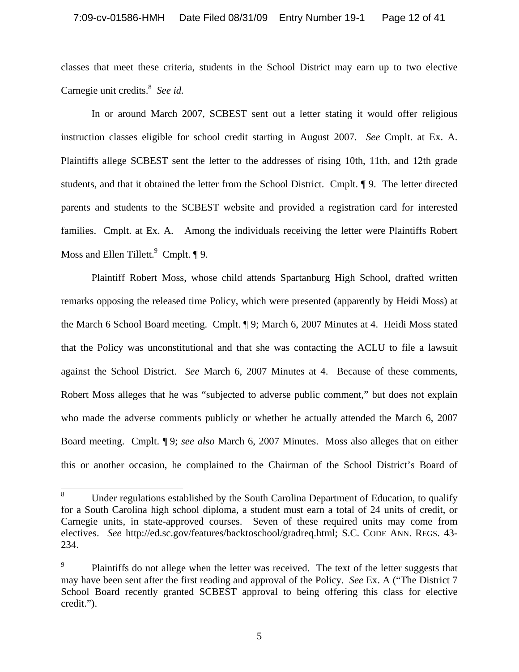classes that meet these criteria, students in the School District may earn up to two elective Carnegie unit credits.<sup>8</sup> See id.

In or around March 2007, SCBEST sent out a letter stating it would offer religious instruction classes eligible for school credit starting in August 2007. *See* Cmplt. at Ex. A. Plaintiffs allege SCBEST sent the letter to the addresses of rising 10th, 11th, and 12th grade students, and that it obtained the letter from the School District. Cmplt. ¶ 9. The letter directed parents and students to the SCBEST website and provided a registration card for interested families. Cmplt. at Ex. A. Among the individuals receiving the letter were Plaintiffs Robert Moss and Ellen Tillett. $9$  Cmplt.  $\P 9$ .

Plaintiff Robert Moss, whose child attends Spartanburg High School, drafted written remarks opposing the released time Policy, which were presented (apparently by Heidi Moss) at the March 6 School Board meeting. Cmplt. ¶ 9; March 6, 2007 Minutes at 4. Heidi Moss stated that the Policy was unconstitutional and that she was contacting the ACLU to file a lawsuit against the School District. *See* March 6, 2007 Minutes at 4. Because of these comments, Robert Moss alleges that he was "subjected to adverse public comment," but does not explain who made the adverse comments publicly or whether he actually attended the March 6, 2007 Board meeting. Cmplt. ¶ 9; *see also* March 6, 2007 Minutes. Moss also alleges that on either this or another occasion, he complained to the Chairman of the School District's Board of

 8 Under regulations established by the South Carolina Department of Education, to qualify for a South Carolina high school diploma, a student must earn a total of 24 units of credit, or Carnegie units, in state-approved courses. Seven of these required units may come from electives. *See* http://ed.sc.gov/features/backtoschool/gradreq.html; S.C. CODE ANN. REGS. 43- 234.

<sup>9</sup> Plaintiffs do not allege when the letter was received. The text of the letter suggests that may have been sent after the first reading and approval of the Policy. *See* Ex. A ("The District 7 School Board recently granted SCBEST approval to being offering this class for elective credit.").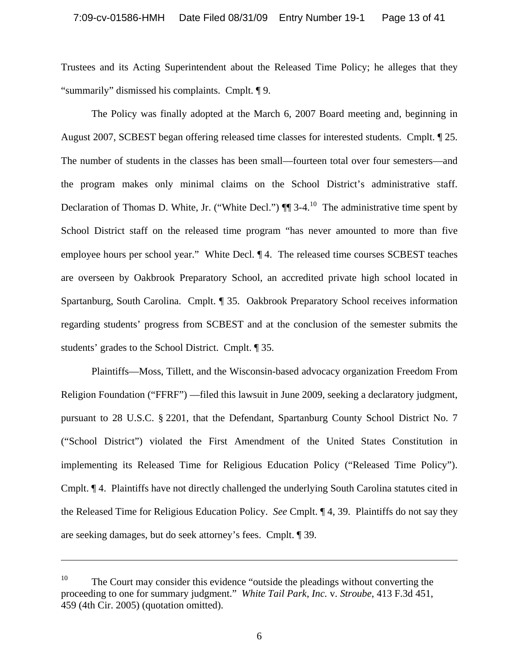Trustees and its Acting Superintendent about the Released Time Policy; he alleges that they "summarily" dismissed his complaints. Cmplt. ¶ 9.

The Policy was finally adopted at the March 6, 2007 Board meeting and, beginning in August 2007, SCBEST began offering released time classes for interested students. Cmplt. ¶ 25. The number of students in the classes has been small—fourteen total over four semesters—and the program makes only minimal claims on the School District's administrative staff. Declaration of Thomas D. White, Jr. ("White Decl.")  $\P$  3-4.<sup>10</sup> The administrative time spent by School District staff on the released time program "has never amounted to more than five employee hours per school year." White Decl. ¶ 4. The released time courses SCBEST teaches are overseen by Oakbrook Preparatory School, an accredited private high school located in Spartanburg, South Carolina. Cmplt. ¶ 35. Oakbrook Preparatory School receives information regarding students' progress from SCBEST and at the conclusion of the semester submits the students' grades to the School District. Cmplt. ¶ 35.

Plaintiffs—Moss, Tillett, and the Wisconsin-based advocacy organization Freedom From Religion Foundation ("FFRF") —filed this lawsuit in June 2009, seeking a declaratory judgment, pursuant to 28 U.S.C. § 2201, that the Defendant, Spartanburg County School District No. 7 ("School District") violated the First Amendment of the United States Constitution in implementing its Released Time for Religious Education Policy ("Released Time Policy"). Cmplt. ¶ 4. Plaintiffs have not directly challenged the underlying South Carolina statutes cited in the Released Time for Religious Education Policy. *See* Cmplt. ¶ 4, 39. Plaintiffs do not say they are seeking damages, but do seek attorney's fees. Cmplt. ¶ 39.

 $\overline{a}$ 

<sup>&</sup>lt;sup>10</sup> The Court may consider this evidence "outside the pleadings without converting the proceeding to one for summary judgment." *White Tail Park, Inc.* v. *Stroube*, 413 F.3d 451, 459 (4th Cir. 2005) (quotation omitted).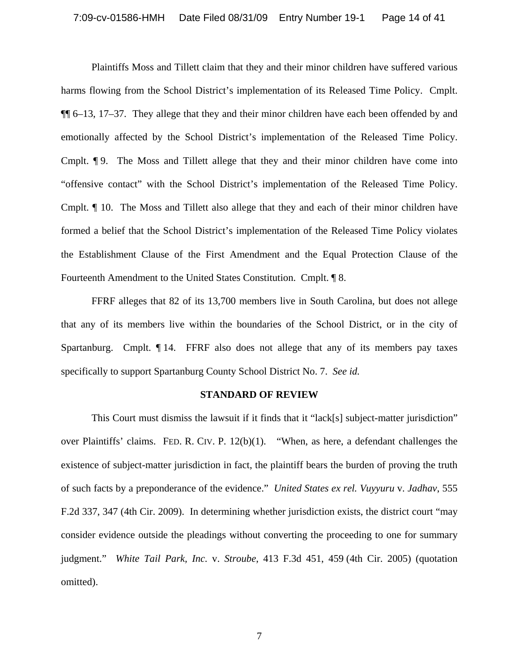Plaintiffs Moss and Tillett claim that they and their minor children have suffered various harms flowing from the School District's implementation of its Released Time Policy. Cmplt. ¶¶ 6–13, 17–37. They allege that they and their minor children have each been offended by and emotionally affected by the School District's implementation of the Released Time Policy. Cmplt. ¶ 9. The Moss and Tillett allege that they and their minor children have come into "offensive contact" with the School District's implementation of the Released Time Policy. Cmplt. ¶ 10. The Moss and Tillett also allege that they and each of their minor children have formed a belief that the School District's implementation of the Released Time Policy violates the Establishment Clause of the First Amendment and the Equal Protection Clause of the Fourteenth Amendment to the United States Constitution. Cmplt. ¶ 8.

FFRF alleges that 82 of its 13,700 members live in South Carolina, but does not allege that any of its members live within the boundaries of the School District, or in the city of Spartanburg. Cmplt. ¶ 14. FFRF also does not allege that any of its members pay taxes specifically to support Spartanburg County School District No. 7. *See id.* 

#### **STANDARD OF REVIEW**

 This Court must dismiss the lawsuit if it finds that it "lack[s] subject-matter jurisdiction" over Plaintiffs' claims. FED. R. CIV. P. 12(b)(1). "When, as here, a defendant challenges the existence of subject-matter jurisdiction in fact, the plaintiff bears the burden of proving the truth of such facts by a preponderance of the evidence." *United States ex rel. Vuyyuru* v. *Jadhav*, 555 F.2d 337, 347 (4th Cir. 2009). In determining whether jurisdiction exists, the district court "may consider evidence outside the pleadings without converting the proceeding to one for summary judgment." *White Tail Park, Inc.* v. *Stroube*, 413 F.3d 451, 459 (4th Cir. 2005) (quotation omitted).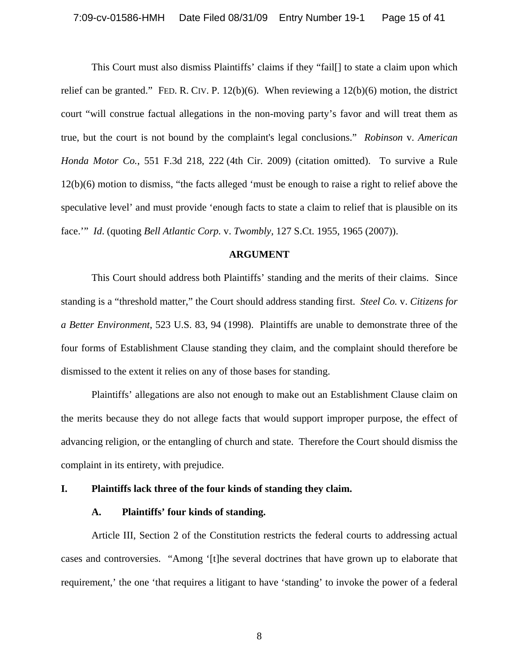This Court must also dismiss Plaintiffs' claims if they "fail[] to state a claim upon which relief can be granted." FED. R. CIV. P.  $12(b)(6)$ . When reviewing a  $12(b)(6)$  motion, the district court "will construe factual allegations in the non-moving party's favor and will treat them as true, but the court is not bound by the complaint's legal conclusions." *Robinson* v. *American Honda Motor Co.*, 551 F.3d 218, 222 (4th Cir. 2009) (citation omitted). To survive a Rule 12(b)(6) motion to dismiss, "the facts alleged 'must be enough to raise a right to relief above the speculative level' and must provide 'enough facts to state a claim to relief that is plausible on its face.'" *Id*. (quoting *Bell Atlantic Corp.* v. *Twombly,* 127 S.Ct. 1955, 1965 (2007)).

#### **ARGUMENT**

This Court should address both Plaintiffs' standing and the merits of their claims. Since standing is a "threshold matter," the Court should address standing first. *Steel Co.* v. *Citizens for a Better Environment*, 523 U.S. 83, 94 (1998). Plaintiffs are unable to demonstrate three of the four forms of Establishment Clause standing they claim, and the complaint should therefore be dismissed to the extent it relies on any of those bases for standing.

Plaintiffs' allegations are also not enough to make out an Establishment Clause claim on the merits because they do not allege facts that would support improper purpose, the effect of advancing religion, or the entangling of church and state. Therefore the Court should dismiss the complaint in its entirety, with prejudice.

#### **I. Plaintiffs lack three of the four kinds of standing they claim.**

#### **A. Plaintiffs' four kinds of standing.**

 Article III, Section 2 of the Constitution restricts the federal courts to addressing actual cases and controversies. "Among '[t]he several doctrines that have grown up to elaborate that requirement,' the one 'that requires a litigant to have 'standing' to invoke the power of a federal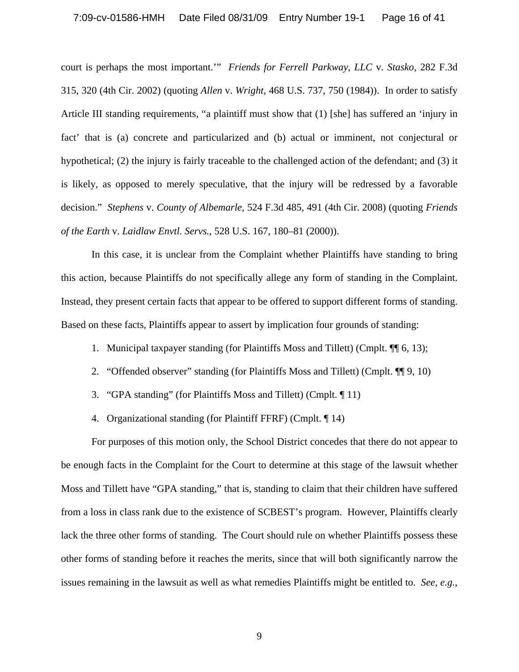### 7:09-cv-01586-HMH Date Filed 08/31/09 Entry Number 19-1 Page 16 of 41

court is perhaps the most important.'" *Friends for Ferrell Parkway, LLC* v. *Stasko*, 282 F.3d 315, 320 (4th Cir. 2002) (quoting *Allen* v. *Wright*, 468 U.S. 737, 750 (1984)). In order to satisfy Article III standing requirements, "a plaintiff must show that (1) [she] has suffered an 'injury in fact' that is (a) concrete and particularized and (b) actual or imminent, not conjectural or hypothetical; (2) the injury is fairly traceable to the challenged action of the defendant; and (3) it is likely, as opposed to merely speculative, that the injury will be redressed by a favorable decision." *Stephens* v. *County of Albemarle*, 524 F.3d 485, 491 (4th Cir. 2008) (quoting *Friends of the Earth* v. *Laidlaw Envtl. Servs.,* 528 U.S. 167, 180–81 (2000)).

 In this case, it is unclear from the Complaint whether Plaintiffs have standing to bring this action, because Plaintiffs do not specifically allege any form of standing in the Complaint. Instead, they present certain facts that appear to be offered to support different forms of standing. Based on these facts, Plaintiffs appear to assert by implication four grounds of standing:

- 1. Municipal taxpayer standing (for Plaintiffs Moss and Tillett) (Cmplt. ¶¶ 6, 13);
- 2. "Offended observer" standing (for Plaintiffs Moss and Tillett) (Cmplt. ¶¶ 9, 10)
- 3. "GPA standing" (for Plaintiffs Moss and Tillett) (Cmplt. ¶ 11)
- 4. Organizational standing (for Plaintiff FFRF) (Cmplt. ¶ 14)

 For purposes of this motion only, the School District concedes that there do not appear to be enough facts in the Complaint for the Court to determine at this stage of the lawsuit whether Moss and Tillett have "GPA standing," that is, standing to claim that their children have suffered from a loss in class rank due to the existence of SCBEST's program. However, Plaintiffs clearly lack the three other forms of standing. The Court should rule on whether Plaintiffs possess these other forms of standing before it reaches the merits, since that will both significantly narrow the issues remaining in the lawsuit as well as what remedies Plaintiffs might be entitled to. *See*, *e.g.*,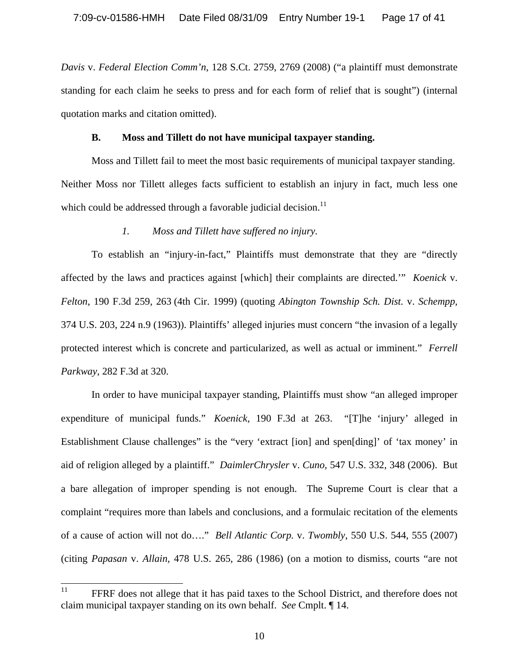*Davis* v. *Federal Election Comm'n*, 128 S.Ct. 2759, 2769 (2008) ("a plaintiff must demonstrate standing for each claim he seeks to press and for each form of relief that is sought") (internal quotation marks and citation omitted).

### **B. Moss and Tillett do not have municipal taxpayer standing.**

Moss and Tillett fail to meet the most basic requirements of municipal taxpayer standing. Neither Moss nor Tillett alleges facts sufficient to establish an injury in fact, much less one which could be addressed through a favorable judicial decision.<sup>11</sup>

# *1. Moss and Tillett have suffered no injury.*

To establish an "injury-in-fact," Plaintiffs must demonstrate that they are "directly affected by the laws and practices against [which] their complaints are directed.'" *Koenick* v. *Felton*, 190 F.3d 259, 263 (4th Cir. 1999) (quoting *Abington Township Sch. Dist.* v. *Schempp*, 374 U.S. 203, 224 n.9 (1963)). Plaintiffs' alleged injuries must concern "the invasion of a legally protected interest which is concrete and particularized, as well as actual or imminent." *Ferrell Parkway*, 282 F.3d at 320.

In order to have municipal taxpayer standing, Plaintiffs must show "an alleged improper expenditure of municipal funds." *Koenick*, 190 F.3d at 263. "[T]he 'injury' alleged in Establishment Clause challenges" is the "very 'extract [ion] and spen[ding]' of 'tax money' in aid of religion alleged by a plaintiff." *DaimlerChrysler* v. *Cuno,* 547 U.S. 332, 348 (2006).But a bare allegation of improper spending is not enough. The Supreme Court is clear that a complaint "requires more than labels and conclusions, and a formulaic recitation of the elements of a cause of action will not do…." *Bell Atlantic Corp.* v. *Twombly*, 550 U.S. 544, 555 (2007) (citing *Papasan* v. *Allain,* 478 U.S. 265, 286 (1986) (on a motion to dismiss, courts "are not

<sup>11</sup> FFRF does not allege that it has paid taxes to the School District, and therefore does not claim municipal taxpayer standing on its own behalf. *See* Cmplt. ¶ 14.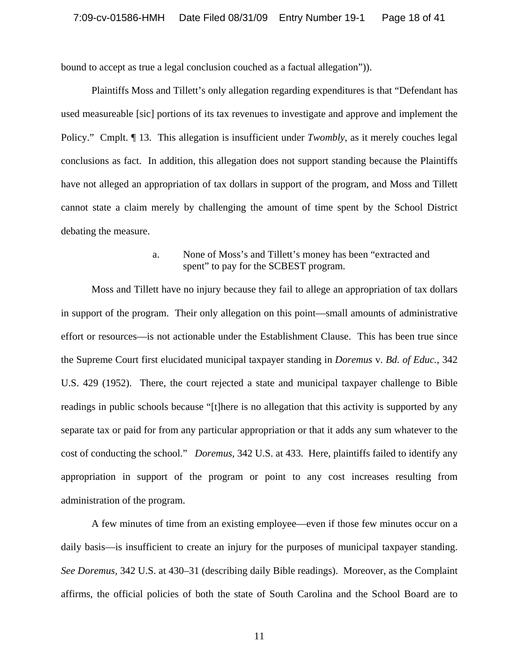bound to accept as true a legal conclusion couched as a factual allegation")).

Plaintiffs Moss and Tillett's only allegation regarding expenditures is that "Defendant has used measureable [sic] portions of its tax revenues to investigate and approve and implement the Policy." Cmplt. ¶ 13. This allegation is insufficient under *Twombly*, as it merely couches legal conclusions as fact. In addition, this allegation does not support standing because the Plaintiffs have not alleged an appropriation of tax dollars in support of the program, and Moss and Tillett cannot state a claim merely by challenging the amount of time spent by the School District debating the measure.

# a. None of Moss's and Tillett's money has been "extracted and spent" to pay for the SCBEST program.

Moss and Tillett have no injury because they fail to allege an appropriation of tax dollars in support of the program. Their only allegation on this point—small amounts of administrative effort or resources—is not actionable under the Establishment Clause. This has been true since the Supreme Court first elucidated municipal taxpayer standing in *Doremus* v. *Bd. of Educ.*, 342 U.S. 429 (1952). There, the court rejected a state and municipal taxpayer challenge to Bible readings in public schools because "[t]here is no allegation that this activity is supported by any separate tax or paid for from any particular appropriation or that it adds any sum whatever to the cost of conducting the school." *Doremus,* 342 U.S. at 433. Here, plaintiffs failed to identify any appropriation in support of the program or point to any cost increases resulting from administration of the program.

A few minutes of time from an existing employee—even if those few minutes occur on a daily basis—is insufficient to create an injury for the purposes of municipal taxpayer standing. *See Doremus,* 342 U.S. at 430–31 (describing daily Bible readings). Moreover, as the Complaint affirms, the official policies of both the state of South Carolina and the School Board are to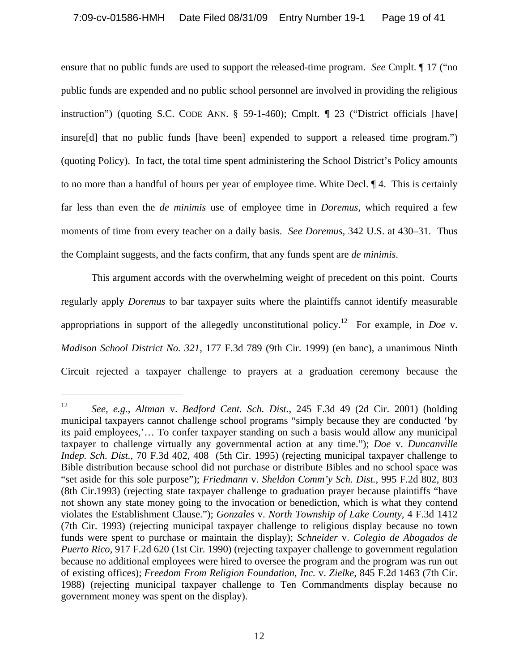ensure that no public funds are used to support the released-time program. *See* Cmplt. ¶ 17 ("no public funds are expended and no public school personnel are involved in providing the religious instruction") (quoting S.C. CODE ANN. § 59-1-460); Cmplt. ¶ 23 ("District officials [have] insure[d] that no public funds [have been] expended to support a released time program.") (quoting Policy). In fact, the total time spent administering the School District's Policy amounts to no more than a handful of hours per year of employee time. White Decl. ¶ 4. This is certainly far less than even the *de minimis* use of employee time in *Doremus,* which required a few moments of time from every teacher on a daily basis. *See Doremus,* 342 U.S. at 430–31. Thus the Complaint suggests, and the facts confirm, that any funds spent are *de minimis*.

This argument accords with the overwhelming weight of precedent on this point. Courts regularly apply *Doremus* to bar taxpayer suits where the plaintiffs cannot identify measurable appropriations in support of the allegedly unconstitutional policy.12 For example, in *Doe* v. *Madison School District No. 321*, 177 F.3d 789 (9th Cir. 1999) (en banc), a unanimous Ninth Circuit rejected a taxpayer challenge to prayers at a graduation ceremony because the

 $\overline{a}$ 

<sup>12</sup> *See, e.g., Altman* v. *Bedford Cent. Sch. Dist.*, 245 F.3d 49 (2d Cir. 2001) (holding municipal taxpayers cannot challenge school programs "simply because they are conducted 'by its paid employees,'… To confer taxpayer standing on such a basis would allow any municipal taxpayer to challenge virtually any governmental action at any time."); *Doe* v. *Duncanville Indep. Sch. Dist.*, 70 F.3d 402, 408 (5th Cir. 1995) (rejecting municipal taxpayer challenge to Bible distribution because school did not purchase or distribute Bibles and no school space was "set aside for this sole purpose"); *Friedmann* v. *Sheldon Comm'y Sch. Dist.,* 995 F.2d 802, 803 (8th Cir.1993) (rejecting state taxpayer challenge to graduation prayer because plaintiffs "have not shown any state money going to the invocation or benediction, which is what they contend violates the Establishment Clause."); *Gonzales* v. *North Township of Lake County,* 4 F.3d 1412 (7th Cir. 1993) (rejecting municipal taxpayer challenge to religious display because no town funds were spent to purchase or maintain the display); *Schneider* v. *Colegio de Abogados de Puerto Rico,* 917 F.2d 620 (1st Cir. 1990) (rejecting taxpayer challenge to government regulation because no additional employees were hired to oversee the program and the program was run out of existing offices); *Freedom From Religion Foundation, Inc.* v. *Zielke,* 845 F.2d 1463 (7th Cir. 1988) (rejecting municipal taxpayer challenge to Ten Commandments display because no government money was spent on the display).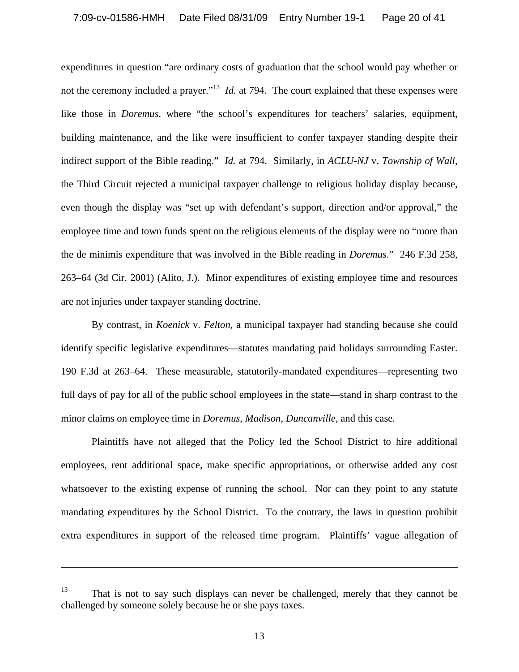expenditures in question "are ordinary costs of graduation that the school would pay whether or not the ceremony included a prayer."<sup>13</sup> *Id.* at 794. The court explained that these expenses were like those in *Doremus*, where "the school's expenditures for teachers' salaries, equipment, building maintenance, and the like were insufficient to confer taxpayer standing despite their indirect support of the Bible reading." *Id.* at 794. Similarly, in *ACLU-NJ* v. *Township of Wall,*  the Third Circuit rejected a municipal taxpayer challenge to religious holiday display because, even though the display was "set up with defendant's support, direction and/or approval," the employee time and town funds spent on the religious elements of the display were no "more than the de minimis expenditure that was involved in the Bible reading in *Doremus*." 246 F.3d 258, 263–64 (3d Cir. 2001) (Alito, J.). Minor expenditures of existing employee time and resources are not injuries under taxpayer standing doctrine.

By contrast, in *Koenick* v. *Felton,* a municipal taxpayer had standing because she could identify specific legislative expenditures—statutes mandating paid holidays surrounding Easter. 190 F.3d at 263–64. These measurable, statutorily-mandated expenditures—representing two full days of pay for all of the public school employees in the state—stand in sharp contrast to the minor claims on employee time in *Doremus*, *Madison*, *Duncanville*, and this case*.* 

Plaintiffs have not alleged that the Policy led the School District to hire additional employees, rent additional space, make specific appropriations, or otherwise added any cost whatsoever to the existing expense of running the school. Nor can they point to any statute mandating expenditures by the School District. To the contrary, the laws in question prohibit extra expenditures in support of the released time program. Plaintiffs' vague allegation of

 $\overline{\phantom{a}}$ 

<sup>&</sup>lt;sup>13</sup> That is not to say such displays can never be challenged, merely that they cannot be challenged by someone solely because he or she pays taxes.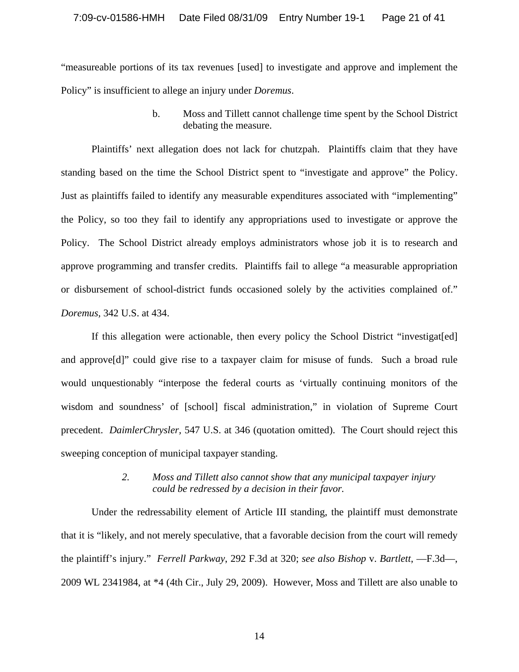"measureable portions of its tax revenues [used] to investigate and approve and implement the Policy" is insufficient to allege an injury under *Doremus*.

> b. Moss and Tillett cannot challenge time spent by the School District debating the measure.

Plaintiffs' next allegation does not lack for chutzpah. Plaintiffs claim that they have standing based on the time the School District spent to "investigate and approve" the Policy. Just as plaintiffs failed to identify any measurable expenditures associated with "implementing" the Policy, so too they fail to identify any appropriations used to investigate or approve the Policy. The School District already employs administrators whose job it is to research and approve programming and transfer credits. Plaintiffs fail to allege "a measurable appropriation or disbursement of school-district funds occasioned solely by the activities complained of." *Doremus,* 342 U.S. at 434.

If this allegation were actionable, then every policy the School District "investigat[ed] and approve[d]" could give rise to a taxpayer claim for misuse of funds. Such a broad rule would unquestionably "interpose the federal courts as 'virtually continuing monitors of the wisdom and soundness' of [school] fiscal administration," in violation of Supreme Court precedent. *DaimlerChrysler,* 547 U.S. at 346 (quotation omitted). The Court should reject this sweeping conception of municipal taxpayer standing.

## *2. Moss and Tillett also cannot show that any municipal taxpayer injury could be redressed by a decision in their favor.*

Under the redressability element of Article III standing, the plaintiff must demonstrate that it is "likely, and not merely speculative, that a favorable decision from the court will remedy the plaintiff's injury." *Ferrell Parkway*, 292 F.3d at 320; *see also Bishop* v. *Bartlett*, —F.3d—, 2009 WL 2341984, at \*4 (4th Cir., July 29, 2009). However, Moss and Tillett are also unable to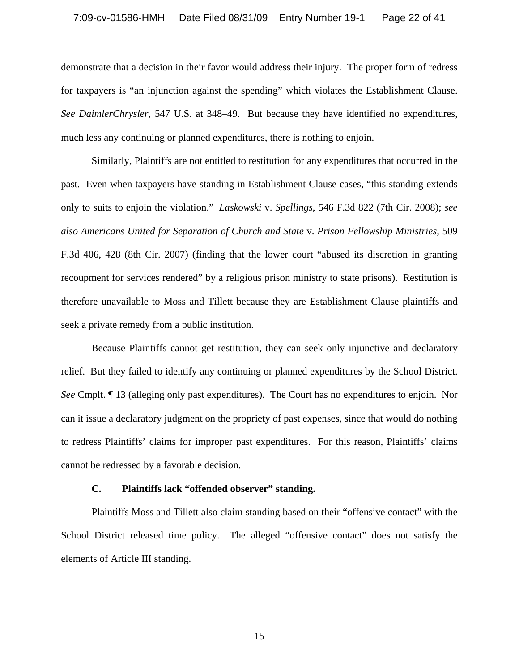#### 7:09-cv-01586-HMH Date Filed 08/31/09 Entry Number 19-1 Page 22 of 41

demonstrate that a decision in their favor would address their injury. The proper form of redress for taxpayers is "an injunction against the spending" which violates the Establishment Clause. *See DaimlerChrysler,* 547 U.S. at 348–49. But because they have identified no expenditures, much less any continuing or planned expenditures, there is nothing to enjoin.

Similarly, Plaintiffs are not entitled to restitution for any expenditures that occurred in the past. Even when taxpayers have standing in Establishment Clause cases, "this standing extends only to suits to enjoin the violation." *Laskowski* v. *Spellings*, 546 F.3d 822 (7th Cir. 2008); *see also Americans United for Separation of Church and State* v. *Prison Fellowship Ministries,* 509 F.3d 406, 428 (8th Cir. 2007) (finding that the lower court "abused its discretion in granting recoupment for services rendered" by a religious prison ministry to state prisons). Restitution is therefore unavailable to Moss and Tillett because they are Establishment Clause plaintiffs and seek a private remedy from a public institution.

Because Plaintiffs cannot get restitution, they can seek only injunctive and declaratory relief. But they failed to identify any continuing or planned expenditures by the School District. *See* Cmplt. ¶ 13 (alleging only past expenditures). The Court has no expenditures to enjoin. Nor can it issue a declaratory judgment on the propriety of past expenses, since that would do nothing to redress Plaintiffs' claims for improper past expenditures. For this reason, Plaintiffs' claims cannot be redressed by a favorable decision.

### **C. Plaintiffs lack "offended observer" standing.**

Plaintiffs Moss and Tillett also claim standing based on their "offensive contact" with the School District released time policy. The alleged "offensive contact" does not satisfy the elements of Article III standing.

15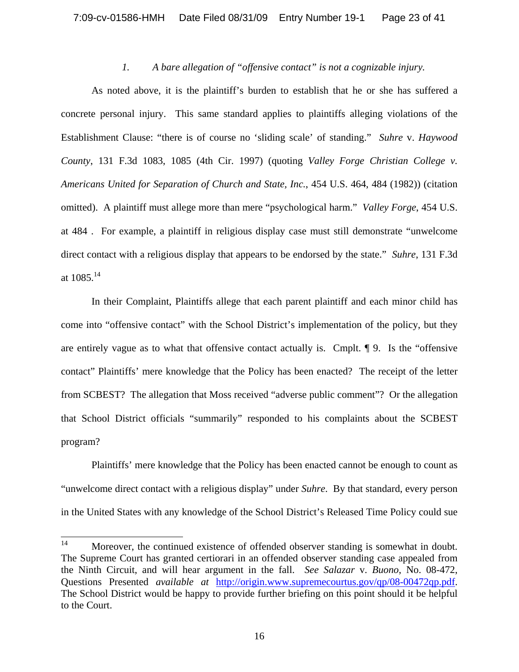## *1. A bare allegation of "offensive contact" is not a cognizable injury.*

As noted above, it is the plaintiff's burden to establish that he or she has suffered a concrete personal injury. This same standard applies to plaintiffs alleging violations of the Establishment Clause: "there is of course no 'sliding scale' of standing." *Suhre* v. *Haywood County*, 131 F.3d 1083, 1085 (4th Cir. 1997) (quoting *Valley Forge Christian College v. Americans United for Separation of Church and State, Inc.*, 454 U.S. 464, 484 (1982)) (citation omitted). A plaintiff must allege more than mere "psychological harm." *Valley Forge*, 454 U.S. at 484 . For example, a plaintiff in religious display case must still demonstrate "unwelcome direct contact with a religious display that appears to be endorsed by the state." *Suhre*, 131 F.3d at 1085.14

In their Complaint, Plaintiffs allege that each parent plaintiff and each minor child has come into "offensive contact" with the School District's implementation of the policy, but they are entirely vague as to what that offensive contact actually is. Cmplt. ¶ 9. Is the "offensive contact" Plaintiffs' mere knowledge that the Policy has been enacted? The receipt of the letter from SCBEST? The allegation that Moss received "adverse public comment"? Or the allegation that School District officials "summarily" responded to his complaints about the SCBEST program?

Plaintiffs' mere knowledge that the Policy has been enacted cannot be enough to count as "unwelcome direct contact with a religious display" under *Suhre*. By that standard, every person in the United States with any knowledge of the School District's Released Time Policy could sue

<sup>14</sup> Moreover, the continued existence of offended observer standing is somewhat in doubt. The Supreme Court has granted certiorari in an offended observer standing case appealed from the Ninth Circuit, and will hear argument in the fall. *See Salazar* v. *Buono*, No. 08-472, Questions Presented *available at* http://origin.www.supremecourtus.gov/qp/08-00472qp.pdf. The School District would be happy to provide further briefing on this point should it be helpful to the Court.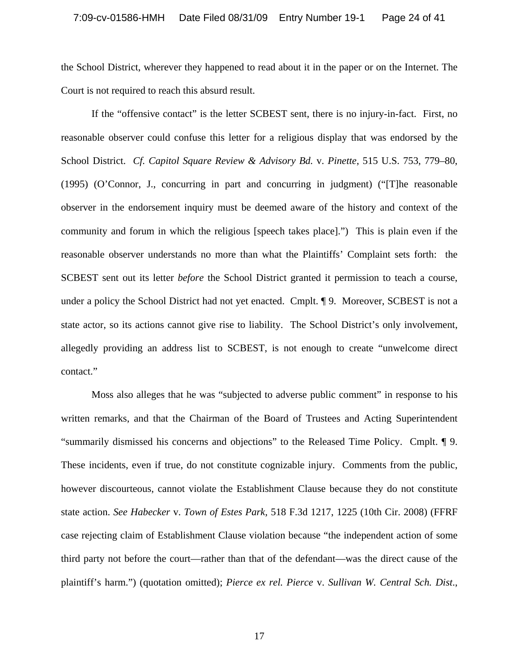the School District, wherever they happened to read about it in the paper or on the Internet. The Court is not required to reach this absurd result.

If the "offensive contact" is the letter SCBEST sent, there is no injury-in-fact. First, no reasonable observer could confuse this letter for a religious display that was endorsed by the School District. *Cf. Capitol Square Review & Advisory Bd.* v. *Pinette*, 515 U.S. 753, 779–80, (1995) (O'Connor, J., concurring in part and concurring in judgment) ("[T]he reasonable observer in the endorsement inquiry must be deemed aware of the history and context of the community and forum in which the religious [speech takes place].") This is plain even if the reasonable observer understands no more than what the Plaintiffs' Complaint sets forth: the SCBEST sent out its letter *before* the School District granted it permission to teach a course, under a policy the School District had not yet enacted. Cmplt. ¶ 9. Moreover, SCBEST is not a state actor, so its actions cannot give rise to liability. The School District's only involvement, allegedly providing an address list to SCBEST, is not enough to create "unwelcome direct contact."

 Moss also alleges that he was "subjected to adverse public comment" in response to his written remarks, and that the Chairman of the Board of Trustees and Acting Superintendent "summarily dismissed his concerns and objections" to the Released Time Policy. Cmplt. ¶ 9. These incidents, even if true, do not constitute cognizable injury. Comments from the public, however discourteous, cannot violate the Establishment Clause because they do not constitute state action. *See Habecker* v. *Town of Estes Park*, 518 F.3d 1217, 1225 (10th Cir. 2008) (FFRF case rejecting claim of Establishment Clause violation because "the independent action of some third party not before the court—rather than that of the defendant—was the direct cause of the plaintiff's harm.") (quotation omitted); *Pierce ex rel. Pierce* v. *Sullivan W. Central Sch. Dist*.,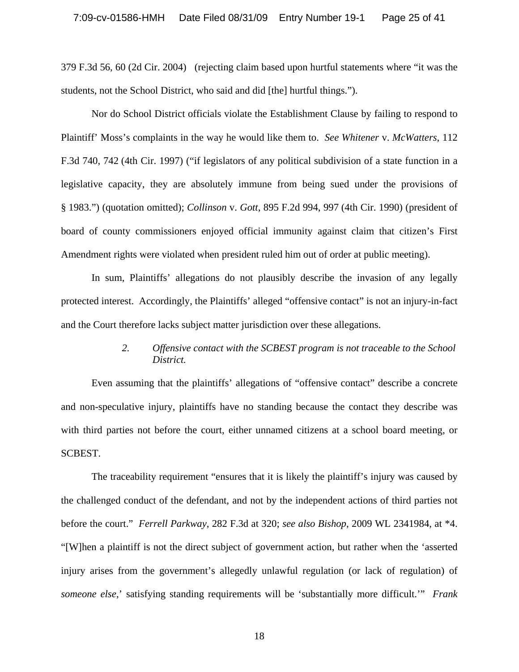379 F.3d 56, 60 (2d Cir. 2004) (rejecting claim based upon hurtful statements where "it was the students, not the School District, who said and did [the] hurtful things.").

Nor do School District officials violate the Establishment Clause by failing to respond to Plaintiff' Moss's complaints in the way he would like them to. *See Whitener* v. *McWatters*, 112 F.3d 740, 742 (4th Cir. 1997) ("if legislators of any political subdivision of a state function in a legislative capacity, they are absolutely immune from being sued under the provisions of § 1983.") (quotation omitted); *Collinson* v. *Gott*, 895 F.2d 994, 997 (4th Cir. 1990) (president of board of county commissioners enjoyed official immunity against claim that citizen's First Amendment rights were violated when president ruled him out of order at public meeting).

 In sum, Plaintiffs' allegations do not plausibly describe the invasion of any legally protected interest. Accordingly, the Plaintiffs' alleged "offensive contact" is not an injury-in-fact and the Court therefore lacks subject matter jurisdiction over these allegations.

# *2. Offensive contact with the SCBEST program is not traceable to the School District.*

Even assuming that the plaintiffs' allegations of "offensive contact" describe a concrete and non-speculative injury, plaintiffs have no standing because the contact they describe was with third parties not before the court, either unnamed citizens at a school board meeting, or SCBEST.

The traceability requirement "ensures that it is likely the plaintiff's injury was caused by the challenged conduct of the defendant, and not by the independent actions of third parties not before the court." *Ferrell Parkway*, 282 F.3d at 320; *see also Bishop*, 2009 WL 2341984, at \*4. "[W]hen a plaintiff is not the direct subject of government action, but rather when the 'asserted injury arises from the government's allegedly unlawful regulation (or lack of regulation) of *someone else*,' satisfying standing requirements will be 'substantially more difficult.'" *Frank* 

18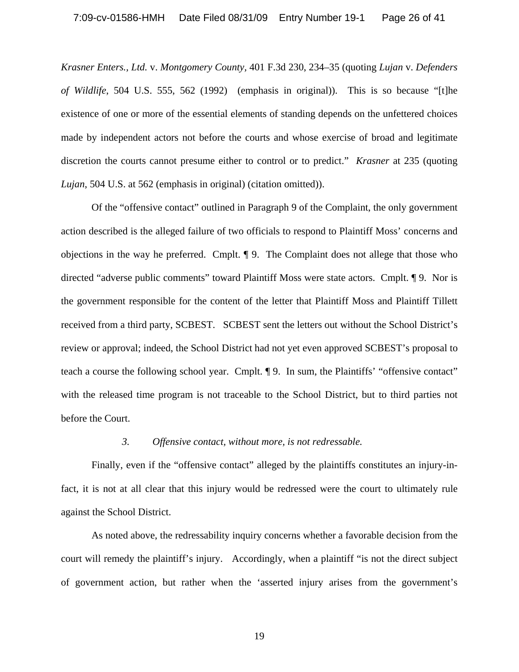*Krasner Enters., Ltd.* v. *Montgomery County,* 401 F.3d 230, 234–35 (quoting *Lujan* v. *Defenders of Wildlife*, 504 U.S. 555, 562 (1992) (emphasis in original)). This is so because "[t]he existence of one or more of the essential elements of standing depends on the unfettered choices made by independent actors not before the courts and whose exercise of broad and legitimate discretion the courts cannot presume either to control or to predict." *Krasner* at 235 (quoting *Lujan*, 504 U.S. at 562 (emphasis in original) (citation omitted)).

Of the "offensive contact" outlined in Paragraph 9 of the Complaint, the only government action described is the alleged failure of two officials to respond to Plaintiff Moss' concerns and objections in the way he preferred. Cmplt. ¶ 9. The Complaint does not allege that those who directed "adverse public comments" toward Plaintiff Moss were state actors. Cmplt. ¶ 9. Nor is the government responsible for the content of the letter that Plaintiff Moss and Plaintiff Tillett received from a third party, SCBEST. SCBEST sent the letters out without the School District's review or approval; indeed, the School District had not yet even approved SCBEST's proposal to teach a course the following school year. Cmplt. ¶ 9. In sum, the Plaintiffs' "offensive contact" with the released time program is not traceable to the School District, but to third parties not before the Court.

## *3. Offensive contact, without more, is not redressable.*

Finally, even if the "offensive contact" alleged by the plaintiffs constitutes an injury-infact, it is not at all clear that this injury would be redressed were the court to ultimately rule against the School District.

As noted above, the redressability inquiry concerns whether a favorable decision from the court will remedy the plaintiff's injury. Accordingly, when a plaintiff "is not the direct subject of government action, but rather when the 'asserted injury arises from the government's

19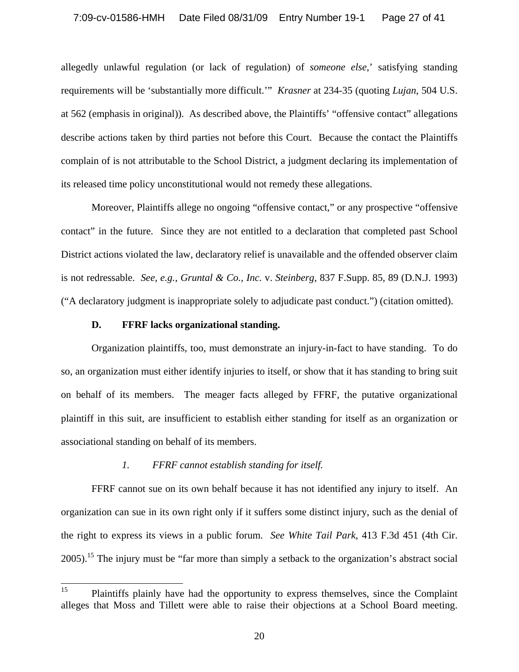allegedly unlawful regulation (or lack of regulation) of *someone else*,' satisfying standing requirements will be 'substantially more difficult.'" *Krasner* at 234-35 (quoting *Lujan*, 504 U.S. at 562 (emphasis in original)). As described above, the Plaintiffs' "offensive contact" allegations describe actions taken by third parties not before this Court. Because the contact the Plaintiffs complain of is not attributable to the School District, a judgment declaring its implementation of its released time policy unconstitutional would not remedy these allegations.

Moreover, Plaintiffs allege no ongoing "offensive contact," or any prospective "offensive contact" in the future. Since they are not entitled to a declaration that completed past School District actions violated the law, declaratory relief is unavailable and the offended observer claim is not redressable. *See*, *e.g.*, *Gruntal & Co., Inc.* v. *Steinberg*, 837 F.Supp. 85, 89 (D.N.J. 1993) ("A declaratory judgment is inappropriate solely to adjudicate past conduct.") (citation omitted).

### **D. FFRF lacks organizational standing.**

Organization plaintiffs, too, must demonstrate an injury-in-fact to have standing. To do so, an organization must either identify injuries to itself, or show that it has standing to bring suit on behalf of its members. The meager facts alleged by FFRF, the putative organizational plaintiff in this suit, are insufficient to establish either standing for itself as an organization or associational standing on behalf of its members.

## *1. FFRF cannot establish standing for itself.*

FFRF cannot sue on its own behalf because it has not identified any injury to itself. An organization can sue in its own right only if it suffers some distinct injury, such as the denial of the right to express its views in a public forum. *See White Tail Park*, 413 F.3d 451 (4th Cir. 2005).<sup>15</sup> The injury must be "far more than simply a setback to the organization's abstract social

<sup>15</sup> Plaintiffs plainly have had the opportunity to express themselves, since the Complaint alleges that Moss and Tillett were able to raise their objections at a School Board meeting.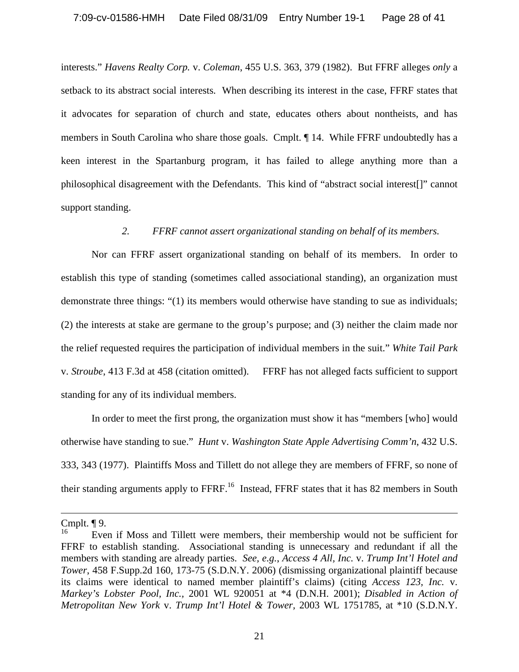interests." *Havens Realty Corp.* v. *Coleman*, 455 U.S. 363, 379 (1982). But FFRF alleges *only* a setback to its abstract social interests. When describing its interest in the case, FFRF states that it advocates for separation of church and state, educates others about nontheists, and has members in South Carolina who share those goals. Cmplt. ¶ 14. While FFRF undoubtedly has a keen interest in the Spartanburg program, it has failed to allege anything more than a philosophical disagreement with the Defendants. This kind of "abstract social interest[]" cannot support standing.

# *2. FFRF cannot assert organizational standing on behalf of its members.*

Nor can FFRF assert organizational standing on behalf of its members. In order to establish this type of standing (sometimes called associational standing), an organization must demonstrate three things: "(1) its members would otherwise have standing to sue as individuals; (2) the interests at stake are germane to the group's purpose; and (3) neither the claim made nor the relief requested requires the participation of individual members in the suit." *White Tail Park*  v. *Stroube*, 413 F.3d at 458 (citation omitted). FFRF has not alleged facts sufficient to support standing for any of its individual members.

In order to meet the first prong, the organization must show it has "members [who] would otherwise have standing to sue." *Hunt* v. *Washington State Apple Advertising Comm'n*, 432 U.S. 333, 343 (1977). Plaintiffs Moss and Tillett do not allege they are members of FFRF, so none of their standing arguments apply to FFRF.<sup>16</sup> Instead, FFRF states that it has 82 members in South

 $\overline{a}$ 

Cmplt. ¶ 9.

<sup>16</sup> Even if Moss and Tillett were members, their membership would not be sufficient for FFRF to establish standing. Associational standing is unnecessary and redundant if all the members with standing are already parties. *See, e.g.*, *Access 4 All, Inc.* v. *Trump Int'l Hotel and Tower*, 458 F.Supp.2d 160, 173-75 (S.D.N.Y. 2006) (dismissing organizational plaintiff because its claims were identical to named member plaintiff's claims) (citing *Access 123, Inc.* v. *Markey's Lobster Pool, Inc.,* 2001 WL 920051 at \*4 (D.N.H. 2001); *Disabled in Action of Metropolitan New York* v. *Trump Int'l Hotel & Tower,* 2003 WL 1751785, at \*10 (S.D.N.Y.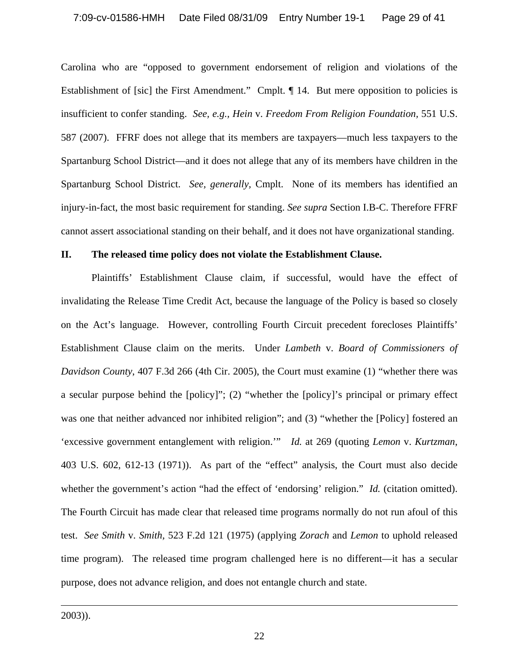Carolina who are "opposed to government endorsement of religion and violations of the Establishment of [sic] the First Amendment." Cmplt. ¶ 14. But mere opposition to policies is insufficient to confer standing. *See, e.g., Hein* v. *Freedom From Religion Foundation,* 551 U.S. 587 (2007). FFRF does not allege that its members are taxpayers—much less taxpayers to the Spartanburg School District—and it does not allege that any of its members have children in the Spartanburg School District. *See, generally,* Cmplt. None of its members has identified an injury-in-fact, the most basic requirement for standing. *See supra* Section I.B-C. Therefore FFRF cannot assert associational standing on their behalf, and it does not have organizational standing.

### **II. The released time policy does not violate the Establishment Clause.**

Plaintiffs' Establishment Clause claim, if successful, would have the effect of invalidating the Release Time Credit Act, because the language of the Policy is based so closely on the Act's language. However, controlling Fourth Circuit precedent forecloses Plaintiffs' Establishment Clause claim on the merits. Under *Lambeth* v. *Board of Commissioners of Davidson County*, 407 F.3d 266 (4th Cir. 2005), the Court must examine (1) "whether there was a secular purpose behind the [policy]"; (2) "whether the [policy]'s principal or primary effect was one that neither advanced nor inhibited religion"; and (3) "whether the [Policy] fostered an 'excessive government entanglement with religion.'" *Id.* at 269 (quoting *Lemon* v. *Kurtzman*, 403 U.S. 602, 612-13 (1971)). As part of the "effect" analysis, the Court must also decide whether the government's action "had the effect of 'endorsing' religion." *Id.* (citation omitted). The Fourth Circuit has made clear that released time programs normally do not run afoul of this test. *See Smith* v. *Smith,* 523 F.2d 121 (1975) (applying *Zorach* and *Lemon* to uphold released time program). The released time program challenged here is no different—it has a secular purpose, does not advance religion, and does not entangle church and state.

2003)).

 $\overline{\phantom{a}}$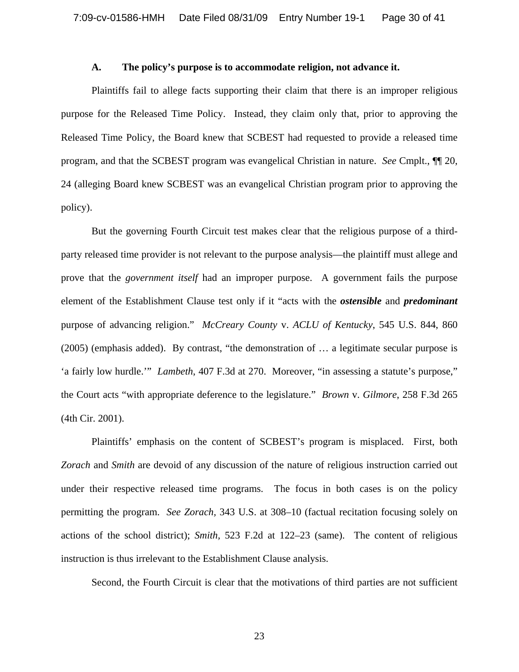#### **A. The policy's purpose is to accommodate religion, not advance it.**

 Plaintiffs fail to allege facts supporting their claim that there is an improper religious purpose for the Released Time Policy. Instead, they claim only that, prior to approving the Released Time Policy, the Board knew that SCBEST had requested to provide a released time program, and that the SCBEST program was evangelical Christian in nature. *See* Cmplt., ¶¶ 20, 24 (alleging Board knew SCBEST was an evangelical Christian program prior to approving the policy).

But the governing Fourth Circuit test makes clear that the religious purpose of a thirdparty released time provider is not relevant to the purpose analysis—the plaintiff must allege and prove that the *government itself* had an improper purpose. A government fails the purpose element of the Establishment Clause test only if it "acts with the *ostensible* and *predominant* purpose of advancing religion." *McCreary County* v. *ACLU of Kentucky*, 545 U.S. 844, 860 (2005) (emphasis added). By contrast, "the demonstration of … a legitimate secular purpose is 'a fairly low hurdle.'" *Lambeth*, 407 F.3d at 270. Moreover, "in assessing a statute's purpose," the Court acts "with appropriate deference to the legislature." *Brown* v. *Gilmore*, 258 F.3d 265 (4th Cir. 2001).

Plaintiffs' emphasis on the content of SCBEST's program is misplaced. First, both *Zorach* and *Smith* are devoid of any discussion of the nature of religious instruction carried out under their respective released time programs. The focus in both cases is on the policy permitting the program. *See Zorach,* 343 U.S. at 308–10 (factual recitation focusing solely on actions of the school district); *Smith,* 523 F.2d at 122–23 (same). The content of religious instruction is thus irrelevant to the Establishment Clause analysis.

Second, the Fourth Circuit is clear that the motivations of third parties are not sufficient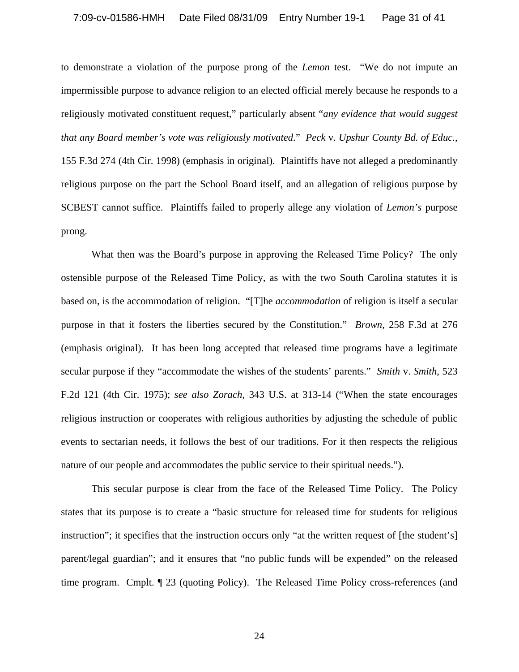### 7:09-cv-01586-HMH Date Filed 08/31/09 Entry Number 19-1 Page 31 of 41

to demonstrate a violation of the purpose prong of the *Lemon* test. "We do not impute an impermissible purpose to advance religion to an elected official merely because he responds to a religiously motivated constituent request," particularly absent "*any evidence that would suggest that any Board member's vote was religiously motivated*." *Peck* v. *Upshur County Bd. of Educ.*, 155 F.3d 274 (4th Cir. 1998) (emphasis in original). Plaintiffs have not alleged a predominantly religious purpose on the part the School Board itself, and an allegation of religious purpose by SCBEST cannot suffice. Plaintiffs failed to properly allege any violation of *Lemon's* purpose prong.

What then was the Board's purpose in approving the Released Time Policy? The only ostensible purpose of the Released Time Policy, as with the two South Carolina statutes it is based on, is the accommodation of religion. "[T]he *accommodation* of religion is itself a secular purpose in that it fosters the liberties secured by the Constitution." *Brown,* 258 F.3d at 276 (emphasis original). It has been long accepted that released time programs have a legitimate secular purpose if they "accommodate the wishes of the students' parents." *Smith* v. *Smith*, 523 F.2d 121 (4th Cir. 1975); *see also Zorach,* 343 U.S. at 313-14 ("When the state encourages religious instruction or cooperates with religious authorities by adjusting the schedule of public events to sectarian needs, it follows the best of our traditions. For it then respects the religious nature of our people and accommodates the public service to their spiritual needs.").

This secular purpose is clear from the face of the Released Time Policy. The Policy states that its purpose is to create a "basic structure for released time for students for religious instruction"; it specifies that the instruction occurs only "at the written request of [the student's] parent/legal guardian"; and it ensures that "no public funds will be expended" on the released time program. Cmplt. ¶ 23 (quoting Policy). The Released Time Policy cross-references (and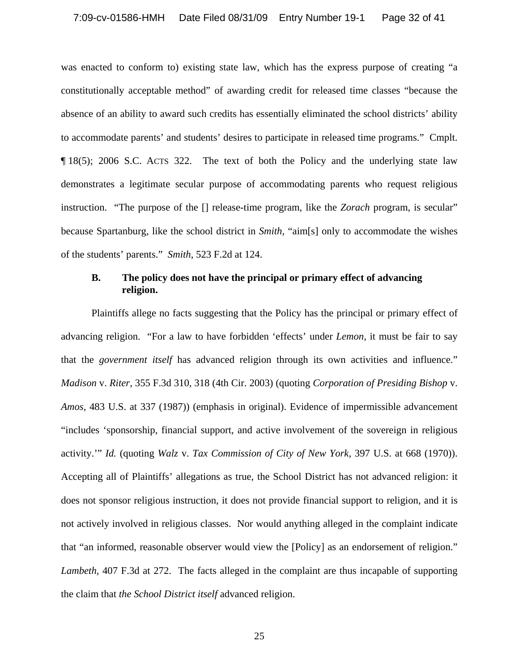was enacted to conform to) existing state law, which has the express purpose of creating "a constitutionally acceptable method" of awarding credit for released time classes "because the absence of an ability to award such credits has essentially eliminated the school districts' ability to accommodate parents' and students' desires to participate in released time programs." Cmplt. ¶ 18(5); 2006 S.C. ACTS 322. The text of both the Policy and the underlying state law demonstrates a legitimate secular purpose of accommodating parents who request religious instruction. "The purpose of the [] release-time program, like the *Zorach* program, is secular" because Spartanburg, like the school district in *Smith,* "aim[s] only to accommodate the wishes of the students' parents." *Smith*, 523 F.2d at 124.

# **B. The policy does not have the principal or primary effect of advancing religion.**

 Plaintiffs allege no facts suggesting that the Policy has the principal or primary effect of advancing religion. "For a law to have forbidden 'effects' under *Lemon,* it must be fair to say that the *government itself* has advanced religion through its own activities and influence." *Madison* v. *Riter,* 355 F.3d 310, 318 (4th Cir. 2003) (quoting *Corporation of Presiding Bishop* v. *Amos,* 483 U.S. at 337 (1987)) (emphasis in original). Evidence of impermissible advancement "includes 'sponsorship, financial support, and active involvement of the sovereign in religious activity.'" *Id.* (quoting *Walz* v. *Tax Commission of City of New York,* 397 U.S. at 668 (1970)). Accepting all of Plaintiffs' allegations as true, the School District has not advanced religion: it does not sponsor religious instruction, it does not provide financial support to religion, and it is not actively involved in religious classes. Nor would anything alleged in the complaint indicate that "an informed, reasonable observer would view the [Policy] as an endorsement of religion." *Lambeth,* 407 F.3d at 272. The facts alleged in the complaint are thus incapable of supporting the claim that *the School District itself* advanced religion.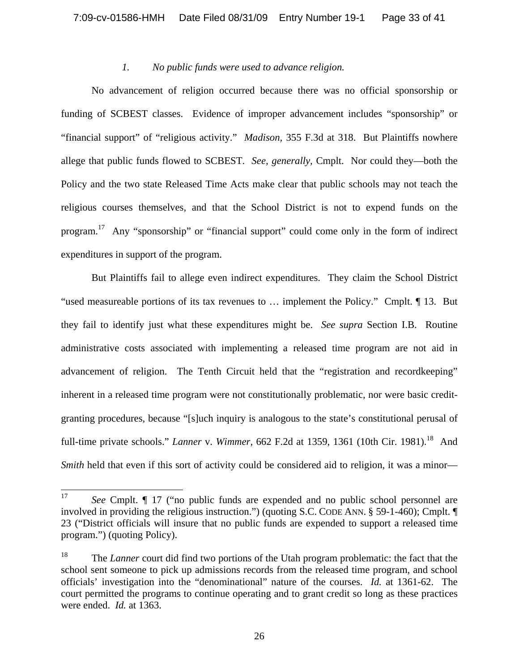## *1. No public funds were used to advance religion.*

 No advancement of religion occurred because there was no official sponsorship or funding of SCBEST classes. Evidence of improper advancement includes "sponsorship" or "financial support" of "religious activity." *Madison,* 355 F.3d at 318. But Plaintiffs nowhere allege that public funds flowed to SCBEST. *See, generally,* Cmplt. Nor could they—both the Policy and the two state Released Time Acts make clear that public schools may not teach the religious courses themselves, and that the School District is not to expend funds on the program.17 Any "sponsorship" or "financial support" could come only in the form of indirect expenditures in support of the program.

But Plaintiffs fail to allege even indirect expenditures. They claim the School District "used measureable portions of its tax revenues to … implement the Policy." Cmplt. ¶ 13. But they fail to identify just what these expenditures might be. *See supra* Section I.B. Routine administrative costs associated with implementing a released time program are not aid in advancement of religion. The Tenth Circuit held that the "registration and recordkeeping" inherent in a released time program were not constitutionally problematic, nor were basic creditgranting procedures, because "[s]uch inquiry is analogous to the state's constitutional perusal of full-time private schools." *Lanner* v. *Wimmer*, 662 F.2d at 1359, 1361 (10th Cir. 1981).<sup>18</sup> And *Smith* held that even if this sort of activity could be considered aid to religion, it was a minor—

<sup>17</sup> 17 *See* Cmplt. ¶ 17 ("no public funds are expended and no public school personnel are involved in providing the religious instruction.") (quoting S.C. CODE ANN. § 59-1-460); Cmplt. ¶ 23 ("District officials will insure that no public funds are expended to support a released time program.") (quoting Policy).

<sup>18</sup> The *Lanner* court did find two portions of the Utah program problematic: the fact that the school sent someone to pick up admissions records from the released time program, and school officials' investigation into the "denominational" nature of the courses. *Id.* at 1361-62. The court permitted the programs to continue operating and to grant credit so long as these practices were ended. *Id.* at 1363.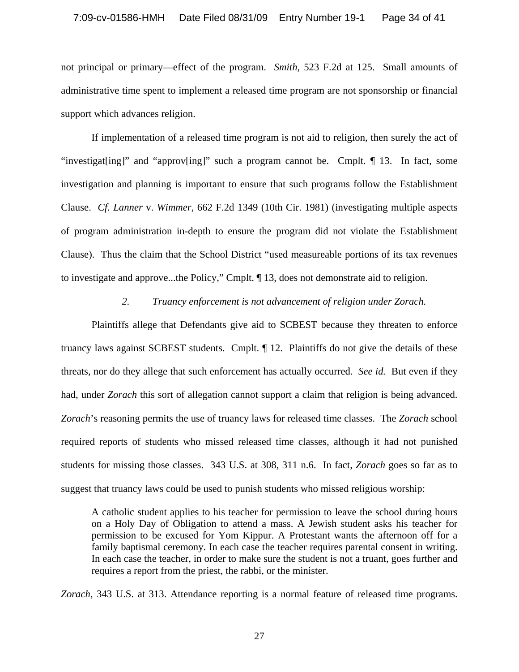not principal or primary—effect of the program. *Smith,* 523 F.2d at 125. Small amounts of administrative time spent to implement a released time program are not sponsorship or financial support which advances religion.

 If implementation of a released time program is not aid to religion, then surely the act of "investigat[ing]" and "approv[ing]" such a program cannot be. Cmplt. ¶ 13. In fact, some investigation and planning is important to ensure that such programs follow the Establishment Clause. *Cf. Lanner* v. *Wimmer,* 662 F.2d 1349 (10th Cir. 1981) (investigating multiple aspects of program administration in-depth to ensure the program did not violate the Establishment Clause). Thus the claim that the School District "used measureable portions of its tax revenues to investigate and approve...the Policy," Cmplt. ¶ 13, does not demonstrate aid to religion.

## *2. Truancy enforcement is not advancement of religion under Zorach.*

Plaintiffs allege that Defendants give aid to SCBEST because they threaten to enforce truancy laws against SCBEST students. Cmplt. ¶ 12. Plaintiffs do not give the details of these threats, nor do they allege that such enforcement has actually occurred. *See id.* But even if they had, under *Zorach* this sort of allegation cannot support a claim that religion is being advanced. *Zorach*'s reasoning permits the use of truancy laws for released time classes. The *Zorach* school required reports of students who missed released time classes, although it had not punished students for missing those classes. 343 U.S. at 308, 311 n.6. In fact, *Zorach* goes so far as to suggest that truancy laws could be used to punish students who missed religious worship:

A catholic student applies to his teacher for permission to leave the school during hours on a Holy Day of Obligation to attend a mass. A Jewish student asks his teacher for permission to be excused for Yom Kippur. A Protestant wants the afternoon off for a family baptismal ceremony. In each case the teacher requires parental consent in writing. In each case the teacher, in order to make sure the student is not a truant, goes further and requires a report from the priest, the rabbi, or the minister.

*Zorach,* 343 U.S. at 313. Attendance reporting is a normal feature of released time programs.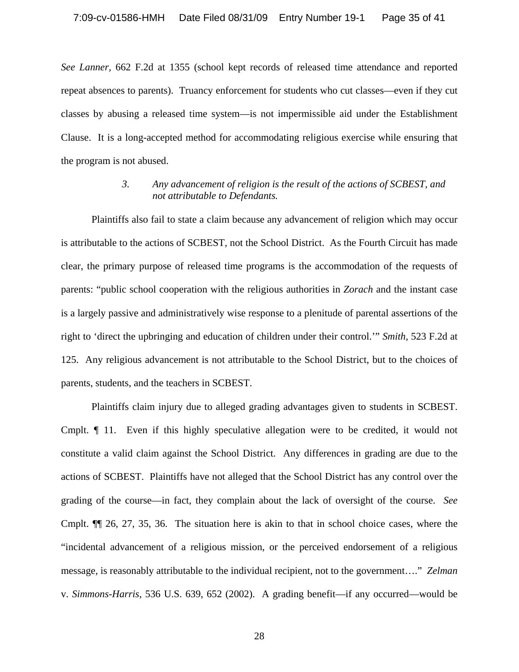*See Lanner,* 662 F.2d at 1355 (school kept records of released time attendance and reported repeat absences to parents). Truancy enforcement for students who cut classes—even if they cut classes by abusing a released time system—is not impermissible aid under the Establishment Clause. It is a long-accepted method for accommodating religious exercise while ensuring that the program is not abused.

# *3. Any advancement of religion is the result of the actions of SCBEST, and not attributable to Defendants.*

Plaintiffs also fail to state a claim because any advancement of religion which may occur is attributable to the actions of SCBEST, not the School District. As the Fourth Circuit has made clear, the primary purpose of released time programs is the accommodation of the requests of parents: "public school cooperation with the religious authorities in *Zorach* and the instant case is a largely passive and administratively wise response to a plenitude of parental assertions of the right to 'direct the upbringing and education of children under their control.'" *Smith,* 523 F.2d at 125. Any religious advancement is not attributable to the School District, but to the choices of parents, students, and the teachers in SCBEST.

Plaintiffs claim injury due to alleged grading advantages given to students in SCBEST. Cmplt. ¶ 11. Even if this highly speculative allegation were to be credited, it would not constitute a valid claim against the School District. Any differences in grading are due to the actions of SCBEST. Plaintiffs have not alleged that the School District has any control over the grading of the course—in fact, they complain about the lack of oversight of the course. *See*  Cmplt. ¶¶ 26, 27, 35, 36. The situation here is akin to that in school choice cases, where the "incidental advancement of a religious mission, or the perceived endorsement of a religious message, is reasonably attributable to the individual recipient, not to the government…." *Zelman*  v. *Simmons-Harris*, 536 U.S. 639, 652 (2002). A grading benefit—if any occurred—would be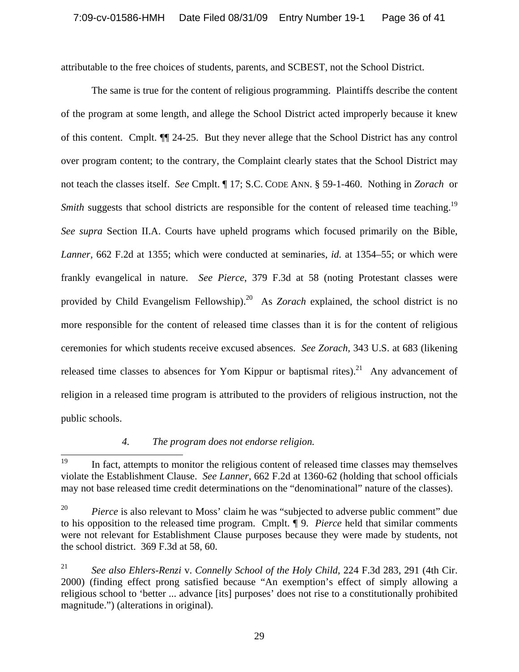attributable to the free choices of students, parents, and SCBEST, not the School District.

The same is true for the content of religious programming. Plaintiffs describe the content of the program at some length, and allege the School District acted improperly because it knew of this content. Cmplt. ¶¶ 24-25. But they never allege that the School District has any control over program content; to the contrary, the Complaint clearly states that the School District may not teach the classes itself. *See* Cmplt. ¶ 17; S.C. CODE ANN. § 59-1-460. Nothing in *Zorach* or *Smith* suggests that school districts are responsible for the content of released time teaching.<sup>19</sup> *See supra* Section II.A. Courts have upheld programs which focused primarily on the Bible, *Lanner,* 662 F.2d at 1355; which were conducted at seminaries, *id.* at 1354–55; or which were frankly evangelical in nature. *See Pierce*, 379 F.3d at 58 (noting Protestant classes were provided by Child Evangelism Fellowship).<sup>20</sup> As *Zorach* explained, the school district is no more responsible for the content of released time classes than it is for the content of religious ceremonies for which students receive excused absences. *See Zorach,* 343 U.S. at 683 (likening released time classes to absences for Yom Kippur or baptismal rites).<sup>21</sup> Any advancement of religion in a released time program is attributed to the providers of religious instruction, not the public schools.

# *4. The program does not endorse religion.*

<sup>19</sup> 19 In fact, attempts to monitor the religious content of released time classes may themselves violate the Establishment Clause. *See Lanner,* 662 F.2d at 1360-62 (holding that school officials may not base released time credit determinations on the "denominational" nature of the classes).

<sup>&</sup>lt;sup>20</sup> *Pierce* is also relevant to Moss' claim he was "subjected to adverse public comment" due to his opposition to the released time program. Cmplt. ¶ 9. *Pierce* held that similar comments were not relevant for Establishment Clause purposes because they were made by students, not the school district. 369 F.3d at 58, 60.

<sup>21</sup> *See also Ehlers-Renzi* v. *Connelly School of the Holy Child,* 224 F.3d 283, 291 (4th Cir. 2000) (finding effect prong satisfied because "An exemption's effect of simply allowing a religious school to 'better ... advance [its] purposes' does not rise to a constitutionally prohibited magnitude.") (alterations in original).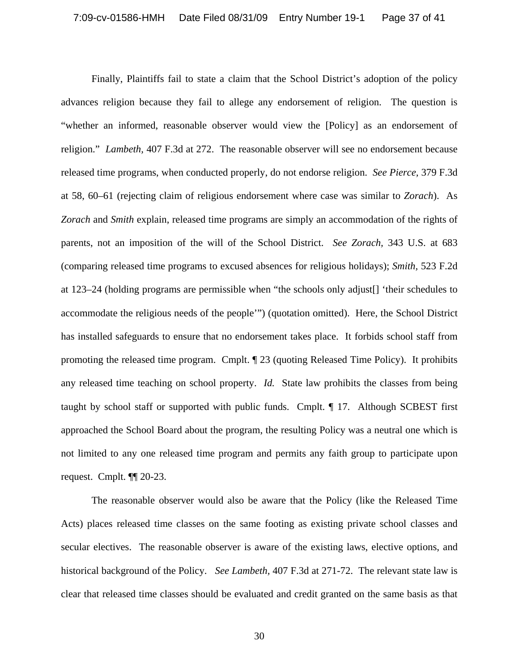Finally, Plaintiffs fail to state a claim that the School District's adoption of the policy advances religion because they fail to allege any endorsement of religion. The question is "whether an informed, reasonable observer would view the [Policy] as an endorsement of religion." *Lambeth,* 407 F.3d at 272. The reasonable observer will see no endorsement because released time programs, when conducted properly, do not endorse religion. *See Pierce,* 379 F.3d at 58, 60–61 (rejecting claim of religious endorsement where case was similar to *Zorach*). As *Zorach* and *Smith* explain, released time programs are simply an accommodation of the rights of parents, not an imposition of the will of the School District. *See Zorach,* 343 U.S. at 683 (comparing released time programs to excused absences for religious holidays); *Smith,* 523 F.2d at 123–24 (holding programs are permissible when "the schools only adjust[] 'their schedules to accommodate the religious needs of the people'") (quotation omitted). Here, the School District has installed safeguards to ensure that no endorsement takes place. It forbids school staff from promoting the released time program. Cmplt. ¶ 23 (quoting Released Time Policy). It prohibits any released time teaching on school property. *Id.* State law prohibits the classes from being taught by school staff or supported with public funds. Cmplt. ¶ 17. Although SCBEST first approached the School Board about the program, the resulting Policy was a neutral one which is not limited to any one released time program and permits any faith group to participate upon request. Cmplt. ¶¶ 20-23.

 The reasonable observer would also be aware that the Policy (like the Released Time Acts) places released time classes on the same footing as existing private school classes and secular electives. The reasonable observer is aware of the existing laws, elective options, and historical background of the Policy. *See Lambeth,* 407 F.3d at 271-72. The relevant state law is clear that released time classes should be evaluated and credit granted on the same basis as that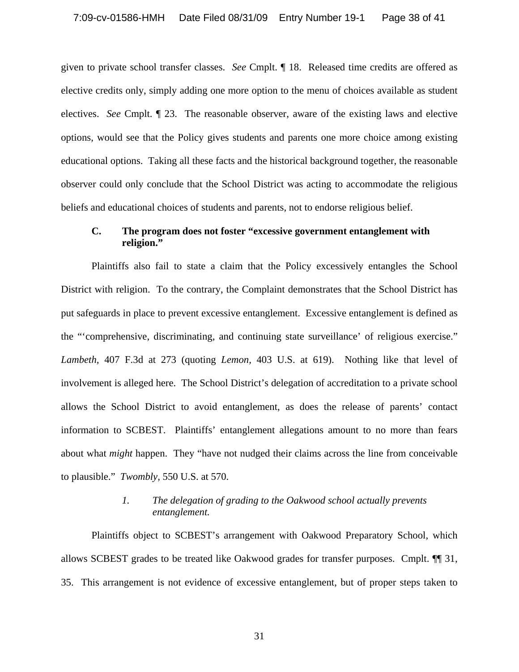given to private school transfer classes. *See* Cmplt. ¶ 18. Released time credits are offered as elective credits only, simply adding one more option to the menu of choices available as student electives. *See* Cmplt. ¶ 23. The reasonable observer, aware of the existing laws and elective options, would see that the Policy gives students and parents one more choice among existing educational options. Taking all these facts and the historical background together, the reasonable observer could only conclude that the School District was acting to accommodate the religious beliefs and educational choices of students and parents, not to endorse religious belief.

# **C. The program does not foster "excessive government entanglement with religion."**

 Plaintiffs also fail to state a claim that the Policy excessively entangles the School District with religion. To the contrary, the Complaint demonstrates that the School District has put safeguards in place to prevent excessive entanglement. Excessive entanglement is defined as the "'comprehensive, discriminating, and continuing state surveillance' of religious exercise." *Lambeth,* 407 F.3d at 273 (quoting *Lemon,* 403 U.S. at 619). Nothing like that level of involvement is alleged here. The School District's delegation of accreditation to a private school allows the School District to avoid entanglement, as does the release of parents' contact information to SCBEST. Plaintiffs' entanglement allegations amount to no more than fears about what *might* happen. They "have not nudged their claims across the line from conceivable to plausible." *Twombly,* 550 U.S. at 570.

# *1. The delegation of grading to the Oakwood school actually prevents entanglement.*

 Plaintiffs object to SCBEST's arrangement with Oakwood Preparatory School, which allows SCBEST grades to be treated like Oakwood grades for transfer purposes. Cmplt. ¶¶ 31, 35. This arrangement is not evidence of excessive entanglement, but of proper steps taken to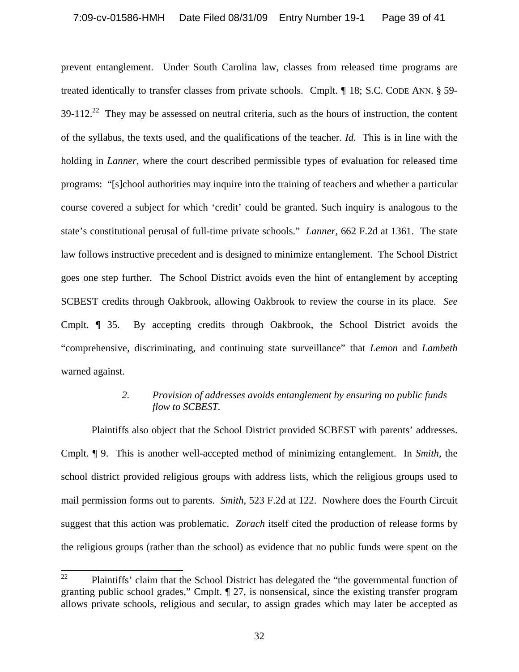prevent entanglement. Under South Carolina law, classes from released time programs are treated identically to transfer classes from private schools. Cmplt. ¶ 18; S.C. CODE ANN. § 59-  $39-112.<sup>22</sup>$  They may be assessed on neutral criteria, such as the hours of instruction, the content of the syllabus, the texts used, and the qualifications of the teacher. *Id.* This is in line with the holding in *Lanner,* where the court described permissible types of evaluation for released time programs: "[s]chool authorities may inquire into the training of teachers and whether a particular course covered a subject for which 'credit' could be granted. Such inquiry is analogous to the state's constitutional perusal of full-time private schools." *Lanner,* 662 F.2d at 1361. The state law follows instructive precedent and is designed to minimize entanglement. The School District goes one step further. The School District avoids even the hint of entanglement by accepting SCBEST credits through Oakbrook, allowing Oakbrook to review the course in its place. *See*  Cmplt. ¶ 35. By accepting credits through Oakbrook, the School District avoids the "comprehensive, discriminating, and continuing state surveillance" that *Lemon* and *Lambeth*  warned against.

# *2. Provision of addresses avoids entanglement by ensuring no public funds flow to SCBEST.*

Plaintiffs also object that the School District provided SCBEST with parents' addresses. Cmplt. ¶ 9. This is another well-accepted method of minimizing entanglement. In *Smith,* the school district provided religious groups with address lists, which the religious groups used to mail permission forms out to parents. *Smith,* 523 F.2d at 122. Nowhere does the Fourth Circuit suggest that this action was problematic. *Zorach* itself cited the production of release forms by the religious groups (rather than the school) as evidence that no public funds were spent on the

<sup>22</sup> 22 Plaintiffs' claim that the School District has delegated the "the governmental function of granting public school grades," Cmplt. ¶ 27, is nonsensical, since the existing transfer program allows private schools, religious and secular, to assign grades which may later be accepted as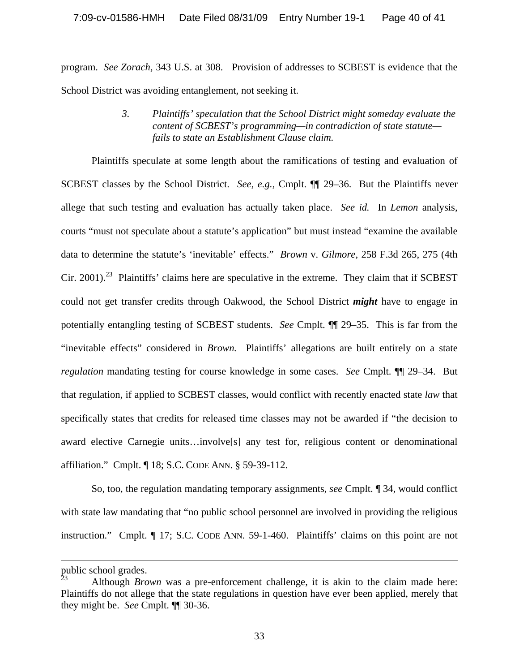program. *See Zorach,* 343 U.S. at 308. Provision of addresses to SCBEST is evidence that the School District was avoiding entanglement, not seeking it.

> *3. Plaintiffs' speculation that the School District might someday evaluate the content of SCBEST's programming—in contradiction of state statute fails to state an Establishment Clause claim.*

 Plaintiffs speculate at some length about the ramifications of testing and evaluation of SCBEST classes by the School District. *See, e.g.,* Cmplt. ¶¶ 29–36. But the Plaintiffs never allege that such testing and evaluation has actually taken place. *See id.* In *Lemon* analysis, courts "must not speculate about a statute's application" but must instead "examine the available data to determine the statute's 'inevitable' effects." *Brown* v. *Gilmore,* 258 F.3d 265, 275 (4th Cir. 2001).<sup>23</sup> Plaintiffs' claims here are speculative in the extreme. They claim that if SCBEST could not get transfer credits through Oakwood, the School District *might* have to engage in potentially entangling testing of SCBEST students. *See* Cmplt. ¶¶ 29–35. This is far from the "inevitable effects" considered in *Brown.* Plaintiffs' allegations are built entirely on a state *regulation* mandating testing for course knowledge in some cases. *See* Cmplt. ¶¶ 29–34. But that regulation, if applied to SCBEST classes, would conflict with recently enacted state *law* that specifically states that credits for released time classes may not be awarded if "the decision to award elective Carnegie units…involve[s] any test for, religious content or denominational affiliation." Cmplt. ¶ 18; S.C. CODE ANN. § 59-39-112.

So, too, the regulation mandating temporary assignments, *see* Cmplt. ¶ 34, would conflict with state law mandating that "no public school personnel are involved in providing the religious instruction." Cmplt. ¶ 17; S.C. CODE ANN. 59-1-460. Plaintiffs' claims on this point are not

 $\overline{a}$ 

public school grades.

Although *Brown* was a pre-enforcement challenge, it is akin to the claim made here: Plaintiffs do not allege that the state regulations in question have ever been applied, merely that they might be. *See* Cmplt. ¶¶ 30-36.